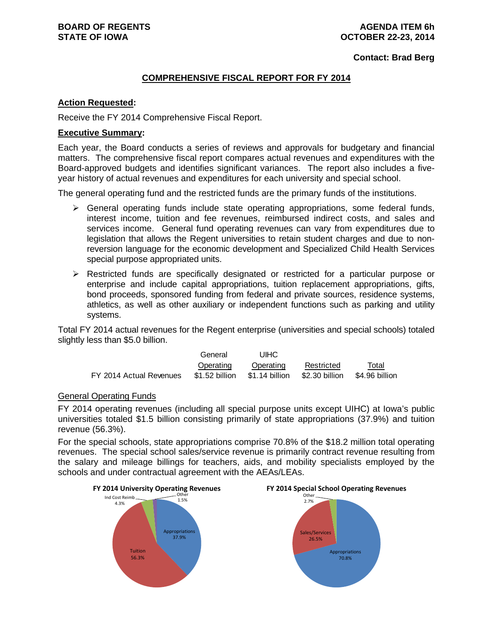**Contact: Brad Berg**

#### **COMPREHENSIVE FISCAL REPORT FOR FY 2014**

#### **Action Requested:**

Receive the FY 2014 Comprehensive Fiscal Report.

#### **Executive Summary:**

Each year, the Board conducts a series of reviews and approvals for budgetary and financial matters. The comprehensive fiscal report compares actual revenues and expenditures with the Board-approved budgets and identifies significant variances. The report also includes a fiveyear history of actual revenues and expenditures for each university and special school.

The general operating fund and the restricted funds are the primary funds of the institutions.

- $\triangleright$  General operating funds include state operating appropriations, some federal funds, interest income, tuition and fee revenues, reimbursed indirect costs, and sales and services income. General fund operating revenues can vary from expenditures due to legislation that allows the Regent universities to retain student charges and due to nonreversion language for the economic development and Specialized Child Health Services special purpose appropriated units.
- $\triangleright$  Restricted funds are specifically designated or restricted for a particular purpose or enterprise and include capital appropriations, tuition replacement appropriations, gifts, bond proceeds, sponsored funding from federal and private sources, residence systems, athletics, as well as other auxiliary or independent functions such as parking and utility systems.

Total FY 2014 actual revenues for the Regent enterprise (universities and special schools) totaled slightly less than \$5.0 billion.

|                         | General        | UIHC           |                |                |
|-------------------------|----------------|----------------|----------------|----------------|
|                         | Operating      | Operating      | Restricted     | Total          |
| FY 2014 Actual Revenues | \$1.52 billion | \$1.14 billion | \$2.30 billion | \$4.96 billion |

#### General Operating Funds

FY 2014 operating revenues (including all special purpose units except UIHC) at Iowa's public universities totaled \$1.5 billion consisting primarily of state appropriations (37.9%) and tuition revenue (56.3%).

For the special schools, state appropriations comprise 70.8% of the \$18.2 million total operating revenues. The special school sales/service revenue is primarily contract revenue resulting from the salary and mileage billings for teachers, aids, and mobility specialists employed by the schools and under contractual agreement with the AEAs/LEAs.

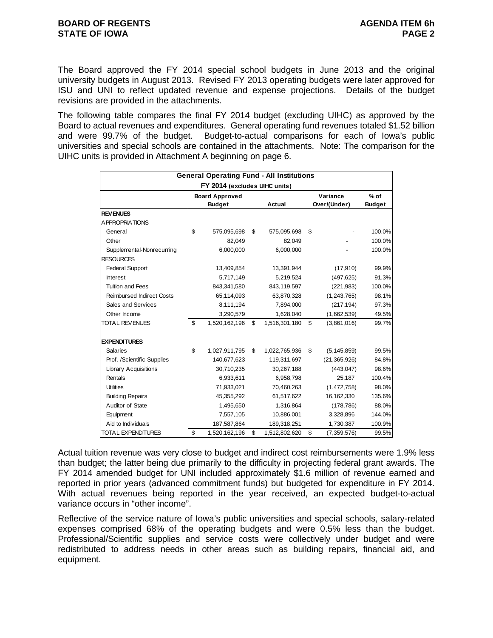The Board approved the FY 2014 special school budgets in June 2013 and the original university budgets in August 2013. Revised FY 2013 operating budgets were later approved for ISU and UNI to reflect updated revenue and expense projections. Details of the budget revisions are provided in the attachments.

The following table compares the final FY 2014 budget (excluding UIHC) as approved by the Board to actual revenues and expenditures. General operating fund revenues totaled \$1.52 billion and were 99.7% of the budget. Budget-to-actual comparisons for each of Iowa's public universities and special schools are contained in the attachments. Note: The comparison for the UIHC units is provided in Attachment A beginning on page 6.

|                                  | <b>General Operating Fund - All Institutions</b> |                     |                     |               |
|----------------------------------|--------------------------------------------------|---------------------|---------------------|---------------|
|                                  | FY 2014 (excludes UIHC units)                    |                     |                     |               |
|                                  | <b>Board Approved</b>                            |                     | Variance            | $%$ of        |
|                                  | <b>Budget</b>                                    | Actual              | Over/(Under)        | <b>Budget</b> |
| <b>REVENUES</b>                  |                                                  |                     |                     |               |
| A PPROPRIATIONS                  |                                                  |                     |                     |               |
| General                          | \$<br>575,095,698                                | \$<br>575,095,698   | \$                  | 100.0%        |
| Other                            | 82.049                                           | 82,049              |                     | 100.0%        |
| Supplemental-Nonrecurring        | 6,000,000                                        | 6,000,000           |                     | 100.0%        |
| <b>RESOURCES</b>                 |                                                  |                     |                     |               |
| <b>Federal Support</b>           | 13,409,854                                       | 13,391,944          | (17,910)            | 99.9%         |
| <b>Interest</b>                  | 5,717,149                                        | 5,219,524           | (497, 625)          | 91.3%         |
| <b>Tuition and Fees</b>          | 843,341,580                                      | 843,119,597         | (221, 983)          | 100.0%        |
| <b>Reimbursed Indirect Costs</b> | 65,114,093                                       | 63,870,328          | (1,243,765)         | 98.1%         |
| Sales and Services               | 8,111,194                                        | 7,894,000           | (217, 194)          | 97.3%         |
| Other Income                     | 3,290,579                                        | 1,628,040           | (1,662,539)         | 49.5%         |
| TOTAL REVENUES                   | \$<br>1,520,162,196                              | \$<br>1,516,301,180 | \$<br>(3,861,016)   | 99.7%         |
| <b>EXPENDITURES</b>              |                                                  |                     |                     |               |
| <b>Salaries</b>                  | \$<br>1,027,911,795                              | \$<br>1,022,765,936 | \$<br>(5, 145, 859) | 99.5%         |
| Prof. /Scientific Supplies       | 140,677,623                                      | 119,311,697         | (21, 365, 926)      | 84.8%         |
| <b>Library Acquisitions</b>      | 30,710,235                                       | 30,267,188          | (443, 047)          | 98.6%         |
| Rentals                          | 6,933,611                                        | 6,958,798           | 25,187              | 100.4%        |
| <b>Utilities</b>                 | 71,933,021                                       | 70,460,263          | (1,472,758)         | 98.0%         |
| <b>Building Repairs</b>          | 45,355,292                                       | 61,517,622          | 16,162,330          | 135.6%        |
| Auditor of State                 | 1,495,650                                        | 1,316,864           | (178, 786)          | 88.0%         |
| Equipment                        | 7,557,105                                        | 10,886,001          | 3,328,896           | 144.0%        |
| Aid to Individuals               | 187,587,864                                      | 189,318,251         | 1,730,387           | 100.9%        |
| TOTAL EXPENDITURES               | \$<br>1,520,162,196                              | \$<br>1,512,802,620 | \$<br>(7, 359, 576) | 99.5%         |

Actual tuition revenue was very close to budget and indirect cost reimbursements were 1.9% less than budget; the latter being due primarily to the difficulty in projecting federal grant awards. The FY 2014 amended budget for UNI included approximately \$1.6 million of revenue earned and reported in prior years (advanced commitment funds) but budgeted for expenditure in FY 2014. With actual revenues being reported in the year received, an expected budget-to-actual variance occurs in "other income".

Reflective of the service nature of Iowa's public universities and special schools, salary-related expenses comprised 68% of the operating budgets and were 0.5% less than the budget. Professional/Scientific supplies and service costs were collectively under budget and were redistributed to address needs in other areas such as building repairs, financial aid, and equipment.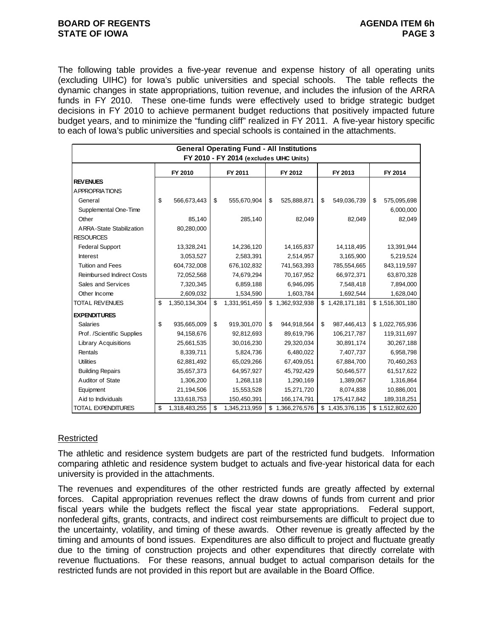#### **BOARD OF REGENTS** AGENUS AGENDA ITEM 6h **STATE OF IOWA** PAGE 3

The following table provides a five-year revenue and expense history of all operating units (excluding UIHC) for Iowa's public universities and special schools. The table reflects the dynamic changes in state appropriations, tuition revenue, and includes the infusion of the ARRA funds in FY 2010. These one-time funds were effectively used to bridge strategic budget decisions in FY 2010 to achieve permanent budget reductions that positively impacted future budget years, and to minimize the "funding cliff" realized in FY 2011. A five-year history specific to each of Iowa's public universities and special schools is contained in the attachments.

|                                         | <b>General Operating Fund - All Institutions</b> |               |    |               |    |                 |    |                 |    |                 |  |  |
|-----------------------------------------|--------------------------------------------------|---------------|----|---------------|----|-----------------|----|-----------------|----|-----------------|--|--|
| FY 2010 - FY 2014 (excludes UIHC Units) |                                                  |               |    |               |    |                 |    |                 |    |                 |  |  |
|                                         |                                                  | FY 2010       |    | FY 2011       |    | FY 2012         |    | FY 2013         |    | FY 2014         |  |  |
| <b>REV ENUES</b>                        |                                                  |               |    |               |    |                 |    |                 |    |                 |  |  |
| <b>APPROPRIATIONS</b>                   |                                                  |               |    |               |    |                 |    |                 |    |                 |  |  |
| General                                 | \$                                               | 566,673,443   | \$ | 555,670,904   | \$ | 525,888,871     | \$ | 549,036,739     | \$ | 575,095,698     |  |  |
| Supplemental One-Time                   |                                                  |               |    |               |    |                 |    |                 |    | 6,000,000       |  |  |
| Other                                   |                                                  | 85,140        |    | 285,140       |    | 82,049          |    | 82,049          |    | 82,049          |  |  |
| <b>ARRA-State Stabilization</b>         |                                                  | 80,280,000    |    |               |    |                 |    |                 |    |                 |  |  |
| <b>RESOURCES</b>                        |                                                  |               |    |               |    |                 |    |                 |    |                 |  |  |
| <b>Federal Support</b>                  |                                                  | 13,328,241    |    | 14,236,120    |    | 14,165,837      |    | 14,118,495      |    | 13,391,944      |  |  |
| <b>Interest</b>                         |                                                  | 3,053,527     |    | 2,583,391     |    | 2,514,957       |    | 3,165,900       |    | 5,219,524       |  |  |
| <b>Tuition and Fees</b>                 |                                                  | 604,732,008   |    | 676,102,832   |    | 741,563,393     |    | 785,554,665     |    | 843,119,597     |  |  |
| <b>Reimbursed Indirect Costs</b>        |                                                  | 72,052,568    |    | 74,679,294    |    | 70,167,952      |    | 66,972,371      |    | 63,870,328      |  |  |
| Sales and Services                      |                                                  | 7,320,345     |    | 6,859,188     |    | 6,946,095       |    | 7,548,418       |    | 7,894,000       |  |  |
| Other Income                            |                                                  | 2,609,032     |    | 1,534,590     |    | 1,603,784       |    | 1,692,544       |    | 1,628,040       |  |  |
| <b>TOTAL REVENUES</b>                   | \$                                               | 1,350,134,304 | \$ | 1,331,951,459 |    | \$1,362,932,938 |    | \$1,428,171,181 |    | \$1,516,301,180 |  |  |
| <b>EXPENDITURES</b>                     |                                                  |               |    |               |    |                 |    |                 |    |                 |  |  |
| <b>Salaries</b>                         | \$                                               | 935,665,009   | \$ | 919,301,070   | \$ | 944,918,564     | \$ | 987,446,413     |    | \$1,022,765,936 |  |  |
| Prof. /Scientific Supplies              |                                                  | 94,158,676    |    | 92,812,693    |    | 89,619,796      |    | 106,217,787     |    | 119,311,697     |  |  |
| <b>Library Acquisitions</b>             |                                                  | 25,661,535    |    | 30,016,230    |    | 29,320,034      |    | 30,891,174      |    | 30,267,188      |  |  |
| Rentals                                 |                                                  | 8,339,711     |    | 5,824,736     |    | 6,480,022       |    | 7,407,737       |    | 6,958,798       |  |  |
| <b>Utilities</b>                        |                                                  | 62,881,492    |    | 65,029,266    |    | 67,409,051      |    | 67,884,700      |    | 70,460,263      |  |  |
| <b>Building Repairs</b>                 |                                                  | 35,657,373    |    | 64,957,927    |    | 45,792,429      |    | 50,646,577      |    | 61,517,622      |  |  |
| Auditor of State                        |                                                  | 1,306,200     |    | 1,268,118     |    | 1,290,169       |    | 1,389,067       |    | 1,316,864       |  |  |
| Equipment                               |                                                  | 21,194,506    |    | 15,553,528    |    | 15,271,720      |    | 8,074,838       |    | 10,886,001      |  |  |
| Aid to Individuals                      |                                                  | 133,618,753   |    | 150,450,391   |    | 166,174,791     |    | 175,417,842     |    | 189,318,251     |  |  |
| <b>TOTAL EXPENDITURES</b>               | \$                                               | 1,318,483,255 | \$ | 1,345,213,959 |    | \$1,366,276,576 |    | \$1,435,376,135 |    | \$1,512,802,620 |  |  |

### Restricted

The athletic and residence system budgets are part of the restricted fund budgets. Information comparing athletic and residence system budget to actuals and five-year historical data for each university is provided in the attachments.

The revenues and expenditures of the other restricted funds are greatly affected by external forces. Capital appropriation revenues reflect the draw downs of funds from current and prior fiscal years while the budgets reflect the fiscal year state appropriations. Federal support, nonfederal gifts, grants, contracts, and indirect cost reimbursements are difficult to project due to the uncertainty, volatility, and timing of these awards. Other revenue is greatly affected by the timing and amounts of bond issues. Expenditures are also difficult to project and fluctuate greatly due to the timing of construction projects and other expenditures that directly correlate with revenue fluctuations. For these reasons, annual budget to actual comparison details for the restricted funds are not provided in this report but are available in the Board Office.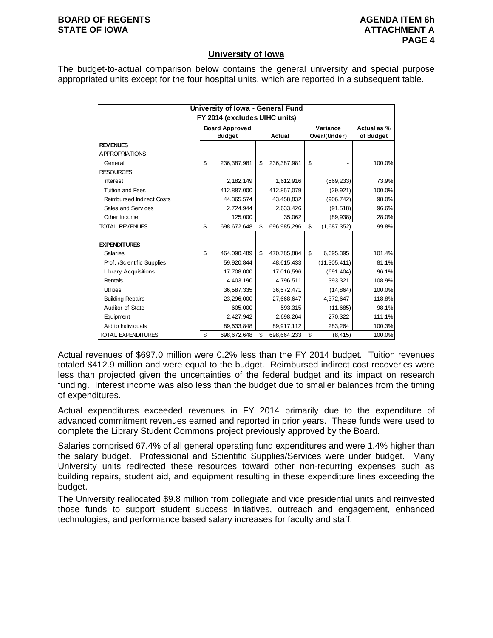#### **BOARD OF REGENTS AGENUS AGENDA ITEM 6h STATE OF IOWA ATTACHMENT A**

#### **University of Iowa**

The budget-to-actual comparison below contains the general university and special purpose appropriated units except for the four hospital units, which are reported in a subsequent table.

|                                  | University of Iowa - General Fund |                               |    |             |    |                |             |  |  |  |  |  |  |
|----------------------------------|-----------------------------------|-------------------------------|----|-------------|----|----------------|-------------|--|--|--|--|--|--|
|                                  |                                   | FY 2014 (excludes UIHC units) |    |             |    |                |             |  |  |  |  |  |  |
|                                  |                                   | <b>Board Approved</b>         |    |             |    | Variance       | Actual as % |  |  |  |  |  |  |
|                                  |                                   | <b>Budget</b>                 |    | Actual      |    | Over/(Under)   | of Budget   |  |  |  |  |  |  |
| <b>REVENUES</b>                  |                                   |                               |    |             |    |                |             |  |  |  |  |  |  |
| A PPROPRIATIONS                  |                                   |                               |    |             |    |                |             |  |  |  |  |  |  |
| General                          | \$                                | 236,387,981                   | \$ | 236,387,981 | \$ |                | 100.0%      |  |  |  |  |  |  |
| <b>RESOURCES</b>                 |                                   |                               |    |             |    |                |             |  |  |  |  |  |  |
| <b>Interest</b>                  |                                   | 2,182,149                     |    | 1,612,916   |    | (569, 233)     | 73.9%       |  |  |  |  |  |  |
| <b>Tuition and Fees</b>          |                                   | 412,887,000                   |    | 412,857,079 |    | (29, 921)      | 100.0%      |  |  |  |  |  |  |
| <b>Reimbursed Indirect Costs</b> |                                   | 44,365,574                    |    | 43,458,832  |    | (906, 742)     | 98.0%       |  |  |  |  |  |  |
| Sales and Services               |                                   | 2.724.944                     |    | 2,633,426   |    | (91, 518)      | 96.6%       |  |  |  |  |  |  |
| Other Income                     |                                   | 125,000                       |    | 35,062      |    | (89,938)       | 28.0%       |  |  |  |  |  |  |
| <b>TOTAL REVENUES</b>            | \$                                | 698,672,648                   | \$ | 696,985,296 | \$ | (1,687,352)    | 99.8%       |  |  |  |  |  |  |
|                                  |                                   |                               |    |             |    |                |             |  |  |  |  |  |  |
| <b>EXPENDITURES</b>              |                                   |                               |    |             |    |                |             |  |  |  |  |  |  |
| <b>Salaries</b>                  | \$                                | 464,090,489                   | \$ | 470,785,884 | \$ | 6,695,395      | 101.4%      |  |  |  |  |  |  |
| Prof. /Scientific Supplies       |                                   | 59,920,844                    |    | 48,615,433  |    | (11, 305, 411) | 81.1%       |  |  |  |  |  |  |
| <b>Library Acquisitions</b>      |                                   | 17,708,000                    |    | 17,016,596  |    | (691, 404)     | 96.1%       |  |  |  |  |  |  |
| Rentals                          |                                   | 4,403,190                     |    | 4,796,511   |    | 393.321        | 108.9%      |  |  |  |  |  |  |
| <b>Utilities</b>                 |                                   | 36,587,335                    |    | 36,572,471  |    | (14, 864)      | 100.0%      |  |  |  |  |  |  |
| <b>Building Repairs</b>          |                                   | 23,296,000                    |    | 27,668,647  |    | 4,372,647      | 118.8%      |  |  |  |  |  |  |
| Auditor of State                 |                                   | 605,000                       |    | 593,315     |    | (11,685)       | 98.1%       |  |  |  |  |  |  |
| Equipment                        |                                   | 2,427,942                     |    | 2,698,264   |    | 270,322        | 111.1%      |  |  |  |  |  |  |
| Aid to Individuals               |                                   | 89,633,848                    |    | 89,917,112  |    | 283,264        | 100.3%      |  |  |  |  |  |  |
| <b>TOTAL EXPENDITURES</b>        | \$                                | 698,672,648                   | \$ | 698,664,233 | \$ | (8, 415)       | 100.0%      |  |  |  |  |  |  |

Actual revenues of \$697.0 million were 0.2% less than the FY 2014 budget. Tuition revenues totaled \$412.9 million and were equal to the budget. Reimbursed indirect cost recoveries were less than projected given the uncertainties of the federal budget and its impact on research funding. Interest income was also less than the budget due to smaller balances from the timing of expenditures.

Actual expenditures exceeded revenues in FY 2014 primarily due to the expenditure of advanced commitment revenues earned and reported in prior years. These funds were used to complete the Library Student Commons project previously approved by the Board.

Salaries comprised 67.4% of all general operating fund expenditures and were 1.4% higher than the salary budget. Professional and Scientific Supplies/Services were under budget. Many University units redirected these resources toward other non-recurring expenses such as building repairs, student aid, and equipment resulting in these expenditure lines exceeding the budget.

The University reallocated \$9.8 million from collegiate and vice presidential units and reinvested those funds to support student success initiatives, outreach and engagement, enhanced technologies, and performance based salary increases for faculty and staff.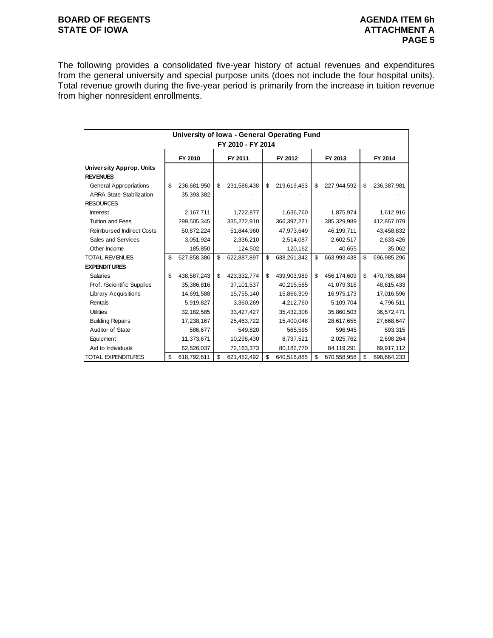#### **BOARD OF REGENTS BOARD OF REGENTS** STATE OF IOWA **ATTACHMENT A**

The following provides a consolidated five-year history of actual revenues and expenditures from the general university and special purpose units (does not include the four hospital units). Total revenue growth during the five-year period is primarily from the increase in tuition revenue from higher nonresident enrollments.

|                                  | University of Iowa - General Operating Fund |             |    |             |    |             |    |             |    |             |  |  |  |
|----------------------------------|---------------------------------------------|-------------|----|-------------|----|-------------|----|-------------|----|-------------|--|--|--|
| FY 2010 - FY 2014                |                                             |             |    |             |    |             |    |             |    |             |  |  |  |
|                                  |                                             | FY 2010     |    | FY 2011     |    | FY 2012     |    | FY 2013     |    | FY 2014     |  |  |  |
| <b>University Approp. Units</b>  |                                             |             |    |             |    |             |    |             |    |             |  |  |  |
| <b>REVENUES</b>                  |                                             |             |    |             |    |             |    |             |    |             |  |  |  |
| <b>General Appropriations</b>    | \$                                          | 236,681,950 | \$ | 231,586,438 | \$ | 219,619,463 | \$ | 227,944,592 | \$ | 236,387,981 |  |  |  |
| <b>ARRA State-Stabilization</b>  |                                             | 35,393,382  |    |             |    |             |    |             |    |             |  |  |  |
| <b>RESOURCES</b>                 |                                             |             |    |             |    |             |    |             |    |             |  |  |  |
| <b>Interest</b>                  |                                             | 2,167,711   |    | 1,722,877   |    | 1,636,760   |    | 1,875,974   |    | 1,612,916   |  |  |  |
| <b>Tuition and Fees</b>          |                                             | 299,505,345 |    | 335,272,910 |    | 366,397,221 |    | 385,329,989 |    | 412,857,079 |  |  |  |
| <b>Reimbursed Indirect Costs</b> |                                             | 50,872,224  |    | 51,844,960  |    | 47,973,649  |    | 46,199,711  |    | 43,458,832  |  |  |  |
| Sales and Services               |                                             | 3,051,924   |    | 2,336,210   |    | 2,514,087   |    | 2,602,517   |    | 2,633,426   |  |  |  |
| Other Income                     |                                             | 185,850     |    | 124,502     |    | 120,162     |    | 40,655      |    | 35,062      |  |  |  |
| <b>TOTAL REVENUES</b>            | \$                                          | 627,858,386 | \$ | 622,887,897 | \$ | 638,261,342 | \$ | 663,993,438 | \$ | 696,985,296 |  |  |  |
| <b>EXPENDITURES</b>              |                                             |             |    |             |    |             |    |             |    |             |  |  |  |
| <b>Salaries</b>                  | \$                                          | 438,587,243 | \$ | 423,332,774 | \$ | 439,903,989 | \$ | 456,174,609 | \$ | 470,785,884 |  |  |  |
| Prof. /Scientific Supplies       |                                             | 35,386,816  |    | 37,101,537  |    | 40,215,585  |    | 41,079,316  |    | 48,615,433  |  |  |  |
| <b>Library Acquisitions</b>      |                                             | 14,691,588  |    | 15,755,140  |    | 15,866,309  |    | 16,975,173  |    | 17,016,596  |  |  |  |
| Rentals                          |                                             | 5,919,827   |    | 3,360,269   |    | 4,212,760   |    | 5,109,704   |    | 4,796,511   |  |  |  |
| <b>Utilities</b>                 |                                             | 32,182,585  |    | 33,427,427  |    | 35,432,308  |    | 35,860,503  |    | 36,572,471  |  |  |  |
| <b>Building Repairs</b>          |                                             | 17,238,167  |    | 25,463,722  |    | 15,400,048  |    | 28,617,655  |    | 27,668,647  |  |  |  |
| Auditor of State                 |                                             | 586,677     |    | 549,820     |    | 565,595     |    | 596,945     |    | 593,315     |  |  |  |
| Equipment                        |                                             | 11,373,671  |    | 10,298,430  |    | 8,737,521   |    | 2,025,762   |    | 2,698,264   |  |  |  |
| Aid to Individuals               |                                             | 62,826,037  |    | 72,163,373  |    | 80,182,770  |    | 84,119,291  |    | 89,917,112  |  |  |  |
| <b>TOTAL EXPENDITURES</b>        | \$                                          | 618,792,611 | \$ | 621,452,492 | \$ | 640,516,885 | \$ | 670,558,958 | \$ | 698,664,233 |  |  |  |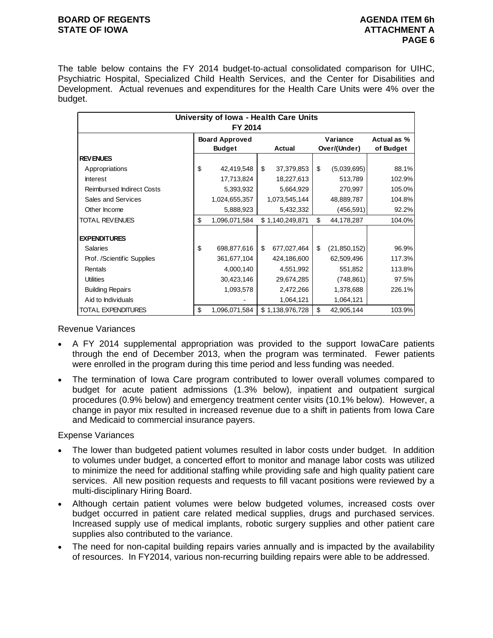#### **BOARD OF REGENTS AGENUS AGENDA ITEM 6h STATE OF IOWA ATTACHMENT A**

The table below contains the FY 2014 budget-to-actual consolidated comparison for UIHC, Psychiatric Hospital, Specialized Child Health Services, and the Center for Disabilities and Development. Actual revenues and expenditures for the Health Care Units were 4% over the budget.

|                                  |                       |                   |                      | University of Iowa - Health Care Units |  |  |  |  |  |  |  |  |  |  |  |
|----------------------------------|-----------------------|-------------------|----------------------|----------------------------------------|--|--|--|--|--|--|--|--|--|--|--|
|                                  | FY 2014               |                   |                      |                                        |  |  |  |  |  |  |  |  |  |  |  |
|                                  | <b>Board Approved</b> |                   | Variance             | Actual as %                            |  |  |  |  |  |  |  |  |  |  |  |
|                                  | <b>Budget</b>         | Actual            | Over/(Under)         | of Budget                              |  |  |  |  |  |  |  |  |  |  |  |
| <b>REVENUES</b>                  |                       |                   |                      |                                        |  |  |  |  |  |  |  |  |  |  |  |
| Appropriations                   | \$<br>42,419,548      | \$<br>37,379,853  | \$<br>(5,039,695)    | 88.1%                                  |  |  |  |  |  |  |  |  |  |  |  |
| <b>Interest</b>                  | 17,713,824            | 18,227,613        | 513,789              | 102.9%                                 |  |  |  |  |  |  |  |  |  |  |  |
| <b>Reimbursed Indirect Costs</b> | 5,393,932             | 5,664,929         | 270,997              | 105.0%                                 |  |  |  |  |  |  |  |  |  |  |  |
| Sales and Services               | 1,024,655,357         | 1,073,545,144     | 48,889,787           | 104.8%                                 |  |  |  |  |  |  |  |  |  |  |  |
| Other Income                     | 5,888,923             | 5,432,332         | (456, 591)           | 92.2%                                  |  |  |  |  |  |  |  |  |  |  |  |
| <b>TOTAL REVENUES</b>            | \$<br>1,096,071,584   | \$1,140,249,871   | \$<br>44,178,287     | 104.0%                                 |  |  |  |  |  |  |  |  |  |  |  |
|                                  |                       |                   |                      |                                        |  |  |  |  |  |  |  |  |  |  |  |
| <b>EXPENDITURES</b>              |                       |                   |                      |                                        |  |  |  |  |  |  |  |  |  |  |  |
| <b>Salaries</b>                  | \$<br>698,877,616     | 677,027,464<br>\$ | \$<br>(21, 850, 152) | 96.9%                                  |  |  |  |  |  |  |  |  |  |  |  |
| Prof. /Scientific Supplies       | 361,677,104           | 424,186,600       | 62,509,496           | 117.3%                                 |  |  |  |  |  |  |  |  |  |  |  |
| Rentals                          | 4,000,140             | 4,551,992         | 551,852              | 113.8%                                 |  |  |  |  |  |  |  |  |  |  |  |
| <b>Utilities</b>                 | 30,423,146            | 29,674,285        | (748, 861)           | 97.5%                                  |  |  |  |  |  |  |  |  |  |  |  |
| <b>Building Repairs</b>          | 1,093,578             | 2,472,266         | 1,378,688            | 226.1%                                 |  |  |  |  |  |  |  |  |  |  |  |
| Aid to Individuals               |                       | 1,064,121         | 1,064,121            |                                        |  |  |  |  |  |  |  |  |  |  |  |
| TOTAL EXPENDITURES               | \$<br>1,096,071,584   | \$1,138,976,728   | \$<br>42,905,144     | 103.9%                                 |  |  |  |  |  |  |  |  |  |  |  |

### Revenue Variances

- A FY 2014 supplemental appropriation was provided to the support IowaCare patients through the end of December 2013, when the program was terminated. Fewer patients were enrolled in the program during this time period and less funding was needed.
- The termination of Iowa Care program contributed to lower overall volumes compared to budget for acute patient admissions (1.3% below), inpatient and outpatient surgical procedures (0.9% below) and emergency treatment center visits (10.1% below). However, a change in payor mix resulted in increased revenue due to a shift in patients from Iowa Care and Medicaid to commercial insurance payers.

### Expense Variances

- The lower than budgeted patient volumes resulted in labor costs under budget. In addition to volumes under budget, a concerted effort to monitor and manage labor costs was utilized to minimize the need for additional staffing while providing safe and high quality patient care services. All new position requests and requests to fill vacant positions were reviewed by a multi-disciplinary Hiring Board.
- Although certain patient volumes were below budgeted volumes, increased costs over budget occurred in patient care related medical supplies, drugs and purchased services. Increased supply use of medical implants, robotic surgery supplies and other patient care supplies also contributed to the variance.
- The need for non-capital building repairs varies annually and is impacted by the availability of resources. In FY2014, various non-recurring building repairs were able to be addressed.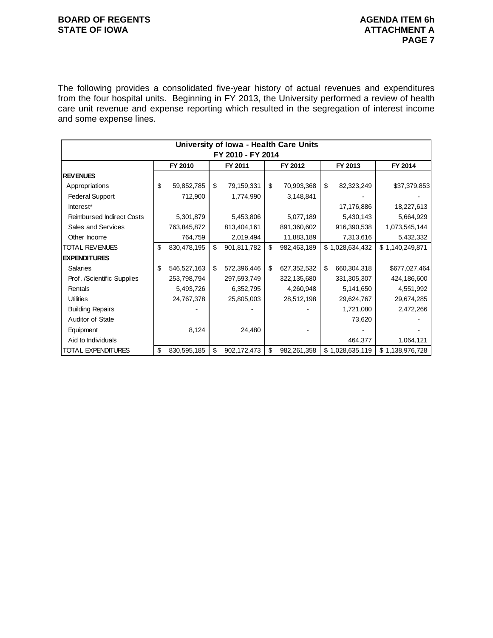#### **BOARD OF REGENTS BOARD OF REGENTS** STATE OF IOWA **ATTACHMENT A**

The following provides a consolidated five-year history of actual revenues and expenditures from the four hospital units. Beginning in FY 2013, the University performed a review of health care unit revenue and expense reporting which resulted in the segregation of interest income and some expense lines.

|                                  | University of Iowa - Health Care Units |             |    |                   |    |             |    |                 |                 |  |  |  |  |  |
|----------------------------------|----------------------------------------|-------------|----|-------------------|----|-------------|----|-----------------|-----------------|--|--|--|--|--|
|                                  |                                        |             |    | FY 2010 - FY 2014 |    |             |    |                 |                 |  |  |  |  |  |
|                                  |                                        | FY 2010     |    | FY 2011           |    | FY 2012     |    | FY 2013         | FY 2014         |  |  |  |  |  |
| <b>REVENUES</b>                  |                                        |             |    |                   |    |             |    |                 |                 |  |  |  |  |  |
| Appropriations                   | \$                                     | 59,852,785  | \$ | 79,159,331        | \$ | 70,993,368  | \$ | 82,323,249      | \$37,379,853    |  |  |  |  |  |
| <b>Federal Support</b>           |                                        | 712,900     |    | 1,774,990         |    | 3,148,841   |    |                 |                 |  |  |  |  |  |
| Interest*                        |                                        |             |    |                   |    |             |    | 17,176,886      | 18,227,613      |  |  |  |  |  |
| <b>Reimbursed Indirect Costs</b> |                                        | 5,301,879   |    | 5,453,806         |    | 5,077,189   |    | 5,430,143       | 5,664,929       |  |  |  |  |  |
| Sales and Services               |                                        | 763,845,872 |    | 813,404,161       |    | 891,360,602 |    | 916,390,538     | 1,073,545,144   |  |  |  |  |  |
| Other Income                     |                                        | 764,759     |    | 2,019,494         |    | 11,883,189  |    | 7,313,616       | 5,432,332       |  |  |  |  |  |
| <b>TOTAL REVENUES</b>            | \$                                     | 830,478,195 | \$ | 901,811,782       | \$ | 982,463,189 |    | \$1,028,634,432 | \$1,140,249,871 |  |  |  |  |  |
| <b>EXPENDITURES</b>              |                                        |             |    |                   |    |             |    |                 |                 |  |  |  |  |  |
| <b>Salaries</b>                  | \$                                     | 546,527,163 | \$ | 572,396,446       | \$ | 627,352,532 | \$ | 660,304,318     | \$677,027,464   |  |  |  |  |  |
| Prof. /Scientific Supplies       |                                        | 253,798,794 |    | 297,593,749       |    | 322,135,680 |    | 331,305,307     | 424,186,600     |  |  |  |  |  |
| Rentals                          |                                        | 5,493,726   |    | 6,352,795         |    | 4,260,948   |    | 5,141,650       | 4,551,992       |  |  |  |  |  |
| <b>Utilities</b>                 |                                        | 24,767,378  |    | 25,805,003        |    | 28,512,198  |    | 29,624,767      | 29,674,285      |  |  |  |  |  |
| <b>Building Repairs</b>          |                                        |             |    |                   |    |             |    | 1,721,080       | 2,472,266       |  |  |  |  |  |
| Auditor of State                 |                                        |             |    |                   |    |             |    | 73,620          |                 |  |  |  |  |  |
| Equipment                        |                                        | 8,124       |    | 24,480            |    |             |    |                 |                 |  |  |  |  |  |
| Aid to Individuals               |                                        |             |    |                   |    |             |    | 464,377         | 1,064,121       |  |  |  |  |  |
| <b>TOTAL EXPENDITURES</b>        | \$                                     | 830,595,185 | \$ | 902,172,473       | \$ | 982,261,358 |    | \$1,028,635,119 | \$1,138,976,728 |  |  |  |  |  |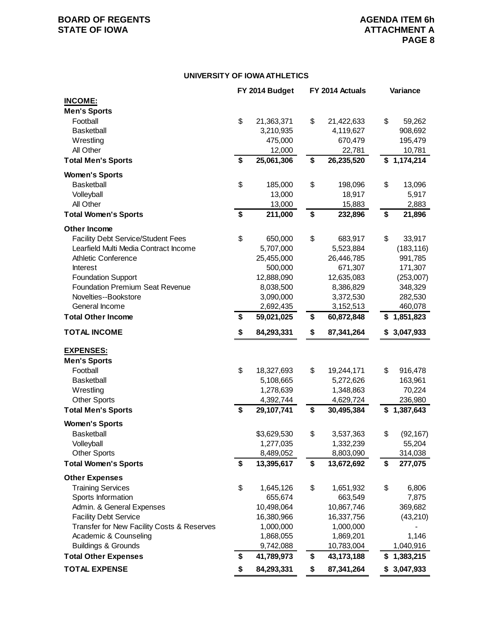# **BOARD OF REGENTS**<br> **BOARD OF REGENTS**<br> **BOARD OF IOWA**<br> **ATTACHMENT A**

#### **UNIVERSITY OF IOWA ATHLETICS**

|                                                               | FY 2014 Budget                | FY 2014 Actuals                | Variance                   |
|---------------------------------------------------------------|-------------------------------|--------------------------------|----------------------------|
| <b>INCOME:</b>                                                |                               |                                |                            |
| <b>Men's Sports</b>                                           |                               |                                |                            |
| Football                                                      | \$<br>21,363,371              | \$<br>21,422,633               | \$<br>59,262               |
| <b>Basketball</b>                                             | 3,210,935                     | 4,119,627                      | 908,692                    |
| Wrestling                                                     | 475,000                       | 670,479                        | 195,479                    |
| All Other                                                     | 12,000                        | 22,781                         | 10,781                     |
| <b>Total Men's Sports</b>                                     | \$<br>25,061,306              | \$<br>26,235,520               | $\overline{\$}$ 1,174,214  |
| <b>Women's Sports</b>                                         |                               |                                |                            |
| <b>Basketball</b>                                             | \$<br>185,000                 | \$<br>198,096                  | \$<br>13,096               |
| Volleyball                                                    | 13,000                        | 18,917                         | 5,917                      |
| All Other                                                     | 13,000                        | 15,883                         | 2,883                      |
| <b>Total Women's Sports</b>                                   | \$<br>211,000                 | \$<br>232,896                  | \$<br>21,896               |
| <b>Other Income</b>                                           |                               |                                |                            |
| <b>Facility Debt Service/Student Fees</b>                     | \$<br>650,000                 | \$<br>683,917                  | \$<br>33,917               |
| Learfield Multi Media Contract Income                         | 5,707,000                     | 5,523,884                      | (183, 116)                 |
| <b>Athletic Conference</b>                                    | 25,455,000                    | 26,446,785                     | 991,785                    |
| <b>Interest</b>                                               | 500,000                       | 671,307                        | 171,307                    |
| <b>Foundation Support</b>                                     | 12,888,090                    | 12,635,083                     | (253,007)                  |
| Foundation Premium Seat Revenue                               | 8,038,500                     | 8,386,829                      | 348,329                    |
| Novelties--Bookstore                                          | 3,090,000                     | 3,372,530                      | 282,530                    |
| General Income                                                | 2,692,435                     | 3,152,513                      | 460,078                    |
| <b>Total Other Income</b>                                     | \$<br>59,021,025              | \$<br>60,872,848               | \$1,851,823                |
| <b>TOTAL INCOME</b>                                           | \$<br>84,293,331              | \$<br>87,341,264               | \$<br>3,047,933            |
|                                                               |                               |                                |                            |
| <b>EXPENSES:</b>                                              |                               |                                |                            |
| <b>Men's Sports</b>                                           |                               |                                |                            |
| Football                                                      | \$<br>18,327,693              | \$<br>19,244,171               | \$<br>916,478              |
| <b>Basketball</b>                                             | 5,108,665                     | 5,272,626                      | 163,961                    |
| Wrestling                                                     | 1,278,639                     | 1,348,863                      | 70,224                     |
| <b>Other Sports</b><br><b>Total Men's Sports</b>              | \$<br>4,392,744<br>29,107,741 | \$<br>4,629,724<br>30,495,384  | \$<br>236,980<br>1,387,643 |
|                                                               |                               |                                |                            |
| <b>Women's Sports</b>                                         |                               |                                |                            |
| <b>Basketball</b>                                             | \$3,629,530                   | \$<br>3,537,363                | \$<br>(92, 167)            |
| Volleyball                                                    | 1,277,035                     | 1,332,239                      | 55,204                     |
| <b>Other Sports</b><br><b>Total Women's Sports</b>            | \$<br>8,489,052<br>13,395,617 | \$<br>8,803,090<br>13,672,692  | \$<br>314,038<br>277,075   |
|                                                               |                               |                                |                            |
| <b>Other Expenses</b>                                         |                               |                                |                            |
| <b>Training Services</b>                                      | \$<br>1,645,126               | \$<br>1,651,932                | \$<br>6,806                |
| Sports Information                                            | 655,674                       | 663,549                        | 7,875                      |
| Admin. & General Expenses                                     | 10,498,064                    | 10,867,746                     | 369,682                    |
| <b>Facility Debt Service</b>                                  | 16,380,966                    | 16,337,756                     | (43, 210)                  |
| Transfer for New Facility Costs & Reserves                    | 1,000,000                     | 1,000,000                      |                            |
| Academic & Counseling                                         | 1,868,055                     | 1,869,201                      | 1,146                      |
| <b>Buildings &amp; Grounds</b><br><b>Total Other Expenses</b> | \$<br>9,742,088<br>41,789,973 | \$<br>10,783,004<br>43,173,188 | 1,040,916                  |
|                                                               |                               |                                | \$1,383,215                |
| <b>TOTAL EXPENSE</b>                                          | \$<br>84,293,331              | \$<br>87,341,264               | \$<br>3,047,933            |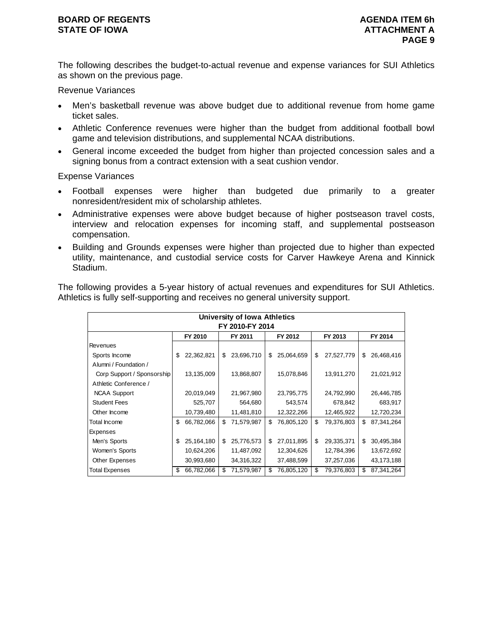The following describes the budget-to-actual revenue and expense variances for SUI Athletics as shown on the previous page.

Revenue Variances

- Men's basketball revenue was above budget due to additional revenue from home game ticket sales.
- Athletic Conference revenues were higher than the budget from additional football bowl game and television distributions, and supplemental NCAA distributions.
- General income exceeded the budget from higher than projected concession sales and a signing bonus from a contract extension with a seat cushion vendor.

Expense Variances

- Football expenses were higher than budgeted due primarily to a greater nonresident/resident mix of scholarship athletes.
- Administrative expenses were above budget because of higher postseason travel costs, interview and relocation expenses for incoming staff, and supplemental postseason compensation.
- Building and Grounds expenses were higher than projected due to higher than expected utility, maintenance, and custodial service costs for Carver Hawkeye Arena and Kinnick Stadium.

The following provides a 5-year history of actual revenues and expenditures for SUI Athletics. Athletics is fully self-supporting and receives no general university support.

|                            |    |            |    | University of Iowa Athletics |    |            |    |            |    |            |  |  |
|----------------------------|----|------------|----|------------------------------|----|------------|----|------------|----|------------|--|--|
| FY 2010-FY 2014            |    |            |    |                              |    |            |    |            |    |            |  |  |
|                            |    | FY 2010    |    | FY 2011                      |    | FY 2012    |    | FY 2013    |    | FY 2014    |  |  |
| Revenues                   |    |            |    |                              |    |            |    |            |    |            |  |  |
| Sports Income              | \$ | 22,362,821 | \$ | 23,696,710                   | \$ | 25,064,659 | \$ | 27,527,779 | \$ | 26,468,416 |  |  |
| Alumni / Foundation /      |    |            |    |                              |    |            |    |            |    |            |  |  |
| Corp Support / Sponsorship |    | 13,135,009 |    | 13,868,807                   |    | 15,078,846 |    | 13,911,270 |    | 21,021,912 |  |  |
| Athletic Conference /      |    |            |    |                              |    |            |    |            |    |            |  |  |
| <b>NCAA Support</b>        |    | 20,019,049 |    | 21,967,980                   |    | 23,795,775 |    | 24,792,990 |    | 26,446,785 |  |  |
| <b>Student Fees</b>        |    | 525,707    |    | 564,680                      |    | 543,574    |    | 678,842    |    | 683,917    |  |  |
| Other Income               |    | 10,739,480 |    | 11,481,810                   |    | 12,322,266 |    | 12,465,922 |    | 12,720,234 |  |  |
| Total Income               | \$ | 66,782,066 | \$ | 71,579,987                   | \$ | 76,805,120 | \$ | 79,376,803 | \$ | 87,341,264 |  |  |
| Expenses                   |    |            |    |                              |    |            |    |            |    |            |  |  |
| Men's Sports               | \$ | 25,164,180 | \$ | 25,776,573                   | \$ | 27,011,895 | \$ | 29,335,371 | \$ | 30,495,384 |  |  |
| Women's Sports             |    | 10,624,206 |    | 11,487,092                   |    | 12,304,626 |    | 12,784,396 |    | 13,672,692 |  |  |
| Other Expenses             |    | 30,993,680 |    | 34,316,322                   |    | 37,488,599 |    | 37,257,036 |    | 43,173,188 |  |  |
| Total Expenses             | \$ | 66,782,066 | S  | 71,579,987                   | \$ | 76,805,120 | \$ | 79,376,803 | \$ | 87,341,264 |  |  |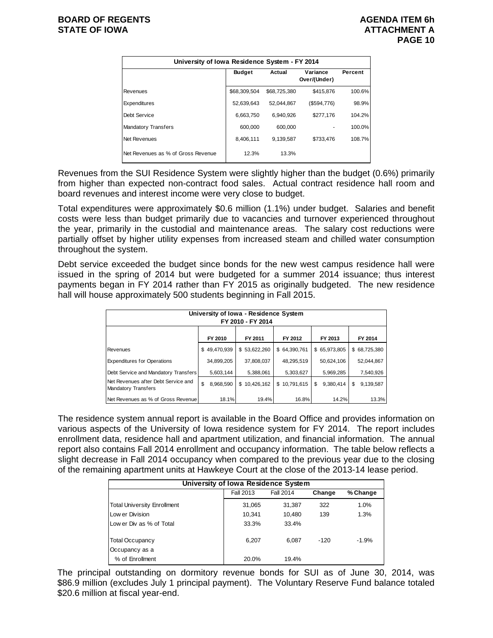| University of Iowa Residence System - FY 2014 |                                                                |              |             |        |  |  |  |  |  |  |  |
|-----------------------------------------------|----------------------------------------------------------------|--------------|-------------|--------|--|--|--|--|--|--|--|
|                                               | Variance<br><b>Budget</b><br>Actual<br>Percent<br>Over/(Under) |              |             |        |  |  |  |  |  |  |  |
| Revenues                                      | \$68,309.504                                                   | \$68,725,380 | \$415.876   | 100.6% |  |  |  |  |  |  |  |
| Expenditures                                  | 52.639.643                                                     | 52.044.867   | (\$594,776) | 98.9%  |  |  |  |  |  |  |  |
| Debt Service                                  | 6.663.750                                                      | 6.940.926    | \$277,176   | 104.2% |  |  |  |  |  |  |  |
| <b>Mandatory Transfers</b>                    | 600,000                                                        | 600.000      |             | 100.0% |  |  |  |  |  |  |  |
| Net Revenues                                  | 8,406,111                                                      | 9,139,587    | \$733.476   | 108.7% |  |  |  |  |  |  |  |
| Net Revenues as % of Gross Revenue            | 12.3%                                                          | 13.3%        |             |        |  |  |  |  |  |  |  |

Revenues from the SUI Residence System were slightly higher than the budget (0.6%) primarily from higher than expected non-contract food sales. Actual contract residence hall room and board revenues and interest income were very close to budget.

Total expenditures were approximately \$0.6 million (1.1%) under budget. Salaries and benefit costs were less than budget primarily due to vacancies and turnover experienced throughout the year, primarily in the custodial and maintenance areas. The salary cost reductions were partially offset by higher utility expenses from increased steam and chilled water consumption throughout the system.

Debt service exceeded the budget since bonds for the new west campus residence hall were issued in the spring of 2014 but were budgeted for a summer 2014 issuance; thus interest payments began in FY 2014 rather than FY 2015 as originally budgeted. The new residence hall will house approximately 500 students beginning in Fall 2015.

| University of Iowa - Residence System<br>FY 2010 - FY 2014        |    |              |  |              |  |              |    |              |    |              |
|-------------------------------------------------------------------|----|--------------|--|--------------|--|--------------|----|--------------|----|--------------|
| FY 2014<br>FY 2010<br>FY 2011<br>FY 2012<br>FY 2013               |    |              |  |              |  |              |    |              |    |              |
| Revenues                                                          |    | \$49,470,939 |  | \$53,622,260 |  | \$64,390,761 |    | \$65,973,805 |    | \$68,725,380 |
| <b>Expenditures for Operations</b>                                |    | 34,899,205   |  | 37,808,037   |  | 48,295,519   |    | 50,624,106   |    | 52.044.867   |
| Debt Service and Mandatory Transfers                              |    | 5,603,144    |  | 5,388,061    |  | 5,303,627    |    | 5,969,285    |    | 7,540,926    |
| Net Revenues after Debt Service and<br><b>Mandatory Transfers</b> | \$ | 8,968,590    |  | \$10,426,162 |  | \$10,791,615 | \$ | 9,380,414    | \$ | 9.139.587    |
| Net Revenues as % of Gross Revenue                                |    | 18.1%        |  | 19.4%        |  | 16.8%        |    | 14.2%        |    | 13.3%        |

The residence system annual report is available in the Board Office and provides information on various aspects of the University of Iowa residence system for FY 2014. The report includes enrollment data, residence hall and apartment utilization, and financial information. The annual report also contains Fall 2014 enrollment and occupancy information. The table below reflects a slight decrease in Fall 2014 occupancy when compared to the previous year due to the closing of the remaining apartment units at Hawkeye Court at the close of the 2013-14 lease period.

| University of Iowa Residence System          |        |        |        |         |  |  |  |  |  |  |  |  |  |
|----------------------------------------------|--------|--------|--------|---------|--|--|--|--|--|--|--|--|--|
| % Change<br>Fall 2013<br>Fall 2014<br>Change |        |        |        |         |  |  |  |  |  |  |  |  |  |
| <b>Total University Enrollment</b>           | 31,065 | 31.387 | 322    | 1.0%    |  |  |  |  |  |  |  |  |  |
| Low er Division                              | 10,341 | 10.480 | 139    | 1.3%    |  |  |  |  |  |  |  |  |  |
| Low er Div as % of Total                     | 33.3%  | 33.4%  |        |         |  |  |  |  |  |  |  |  |  |
| <b>Total Occupancy</b>                       | 6.207  | 6.087  | $-120$ | $-1.9%$ |  |  |  |  |  |  |  |  |  |
| Occupancy as a                               |        |        |        |         |  |  |  |  |  |  |  |  |  |
| % of Enrollment                              | 20.0%  | 19.4%  |        |         |  |  |  |  |  |  |  |  |  |

The principal outstanding on dormitory revenue bonds for SUI as of June 30, 2014, was \$86.9 million (excludes July 1 principal payment). The Voluntary Reserve Fund balance totaled \$20.6 million at fiscal year-end.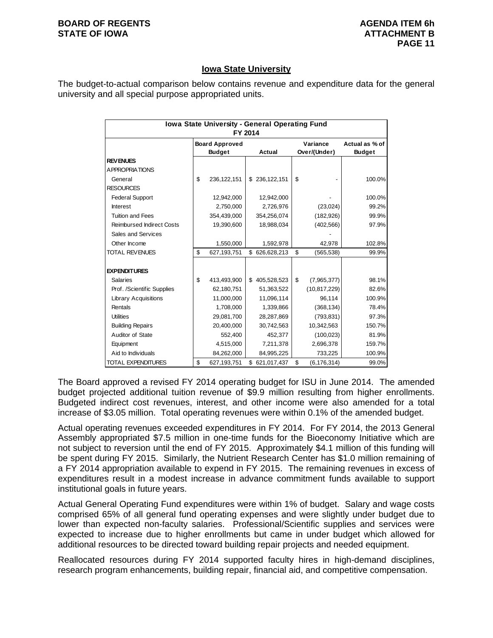#### **BOARD OF REGENTS AGENUS AGENDA ITEM 6h STATE OF IOWA** AND **ATTACHMENT B**

### **Iowa State University**

The budget-to-actual comparison below contains revenue and expenditure data for the general university and all special purpose appropriated units.

|                                  | Iowa State University - General Operating Fund<br>FY 2014 |                                                         |    |               |    |                          |                                 |  |  |  |
|----------------------------------|-----------------------------------------------------------|---------------------------------------------------------|----|---------------|----|--------------------------|---------------------------------|--|--|--|
|                                  |                                                           | <b>Board Approved</b><br><b>Actual</b><br><b>Budget</b> |    |               |    | Variance<br>Over/(Under) | Actual as % of<br><b>Budget</b> |  |  |  |
| <b>REVENUES</b>                  |                                                           |                                                         |    |               |    |                          |                                 |  |  |  |
| <b>APPROPRIATIONS</b>            |                                                           |                                                         |    |               |    |                          |                                 |  |  |  |
| General                          | \$                                                        | 236,122,151                                             |    | \$236,122,151 | \$ |                          | 100.0%                          |  |  |  |
| <b>RESOURCES</b>                 |                                                           |                                                         |    |               |    |                          |                                 |  |  |  |
| <b>Federal Support</b>           |                                                           | 12,942,000                                              |    | 12,942,000    |    |                          | 100.0%                          |  |  |  |
| <b>Interest</b>                  |                                                           | 2,750,000                                               |    | 2,726,976     |    | (23, 024)                | 99.2%                           |  |  |  |
| <b>Tuition and Fees</b>          |                                                           | 354,439,000                                             |    | 354,256,074   |    | (182, 926)               | 99.9%                           |  |  |  |
| <b>Reimbursed Indirect Costs</b> |                                                           | 19,390,600                                              |    | 18,988,034    |    | (402, 566)               | 97.9%                           |  |  |  |
| Sales and Services               |                                                           |                                                         |    |               |    |                          |                                 |  |  |  |
| Other Income                     |                                                           | 1,550,000                                               |    | 1,592,978     |    | 42,978                   | 102.8%                          |  |  |  |
| TOTAL REVENUES                   | \$                                                        | 627,193,751                                             | \$ | 626,628,213   | \$ | (565, 538)               | 99.9%                           |  |  |  |
|                                  |                                                           |                                                         |    |               |    |                          |                                 |  |  |  |
| <b>EXPENDITURES</b>              |                                                           |                                                         |    |               |    |                          |                                 |  |  |  |
| <b>Salaries</b>                  | \$                                                        | 413,493,900                                             | \$ | 405,528,523   | \$ | (7,965,377)              | 98.1%                           |  |  |  |
| Prof. /Scientific Supplies       |                                                           | 62,180,751                                              |    | 51,363,522    |    | (10, 817, 229)           | 82.6%                           |  |  |  |
| <b>Library Acquisitions</b>      |                                                           | 11,000,000                                              |    | 11,096,114    |    | 96.114                   | 100.9%                          |  |  |  |
| Rentals                          |                                                           | 1,708,000                                               |    | 1,339,866     |    | (368, 134)               | 78.4%                           |  |  |  |
| <b>Utilities</b>                 |                                                           | 29,081,700                                              |    | 28,287,869    |    | (793, 831)               | 97.3%                           |  |  |  |
| <b>Building Repairs</b>          |                                                           | 20,400,000                                              |    | 30,742,563    |    | 10,342,563               | 150.7%                          |  |  |  |
| Auditor of State                 |                                                           | 552.400                                                 |    | 452,377       |    | (100, 023)               | 81.9%                           |  |  |  |
| Equipment                        |                                                           | 4,515,000                                               |    | 7,211,378     |    | 2,696,378                | 159.7%                          |  |  |  |
| Aid to Individuals               |                                                           | 84,262,000                                              |    | 84,995,225    |    | 733,225                  | 100.9%                          |  |  |  |
| <b>TOTAL EXPENDITURES</b>        | \$                                                        | 627,193,751                                             |    | \$621,017,437 | \$ | (6, 176, 314)            | 99.0%                           |  |  |  |

The Board approved a revised FY 2014 operating budget for ISU in June 2014. The amended budget projected additional tuition revenue of \$9.9 million resulting from higher enrollments. Budgeted indirect cost revenues, interest, and other income were also amended for a total increase of \$3.05 million. Total operating revenues were within 0.1% of the amended budget.

Actual operating revenues exceeded expenditures in FY 2014. For FY 2014, the 2013 General Assembly appropriated \$7.5 million in one-time funds for the Bioeconomy Initiative which are not subject to reversion until the end of FY 2015. Approximately \$4.1 million of this funding will be spent during FY 2015. Similarly, the Nutrient Research Center has \$1.0 million remaining of a FY 2014 appropriation available to expend in FY 2015. The remaining revenues in excess of expenditures result in a modest increase in advance commitment funds available to support institutional goals in future years.

Actual General Operating Fund expenditures were within 1% of budget. Salary and wage costs comprised 65% of all general fund operating expenses and were slightly under budget due to lower than expected non-faculty salaries. Professional/Scientific supplies and services were expected to increase due to higher enrollments but came in under budget which allowed for additional resources to be directed toward building repair projects and needed equipment.

Reallocated resources during FY 2014 supported faculty hires in high-demand disciplines, research program enhancements, building repair, financial aid, and competitive compensation.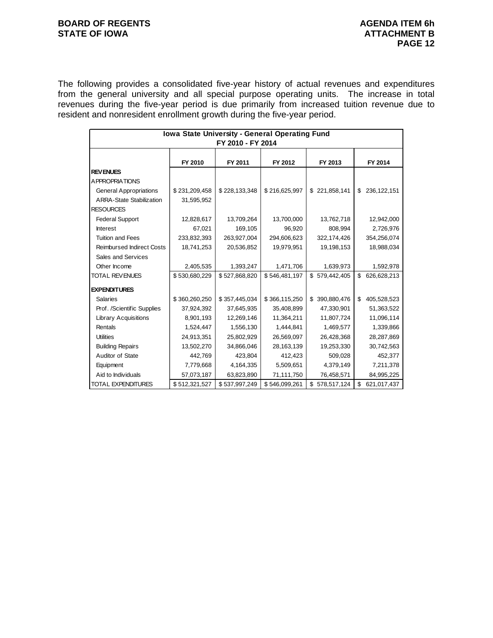#### **BOARD OF REGENTS BOARD OF REGENTS** STATE OF IOWA **ATTACHMENT B**

The following provides a consolidated five-year history of actual revenues and expenditures from the general university and all special purpose operating units. The increase in total revenues during the five-year period is due primarily from increased tuition revenue due to resident and nonresident enrollment growth during the five-year period.

|                                  | Iowa State University - General Operating Fund |                   |               |                   |                   |  |  |
|----------------------------------|------------------------------------------------|-------------------|---------------|-------------------|-------------------|--|--|
|                                  |                                                | FY 2010 - FY 2014 |               |                   |                   |  |  |
|                                  |                                                |                   |               |                   |                   |  |  |
|                                  | FY 2010                                        | FY 2011           | FY 2012       | FY 2013           | FY 2014           |  |  |
| <b>REVENUES</b>                  |                                                |                   |               |                   |                   |  |  |
| <b>APPROPRIATIONS</b>            |                                                |                   |               |                   |                   |  |  |
| <b>General Appropriations</b>    | \$231,209,458                                  | \$228,133,348     | \$216,625,997 | \$221,858,141     | 236,122,151<br>\$ |  |  |
| <b>ARRA-State Stabilization</b>  | 31,595,952                                     |                   |               |                   |                   |  |  |
| <b>RESOURCES</b>                 |                                                |                   |               |                   |                   |  |  |
| <b>Federal Support</b>           | 12,828,617                                     | 13,709,264        | 13,700,000    | 13,762,718        | 12,942,000        |  |  |
| <b>Interest</b>                  | 67.021                                         | 169,105           | 96,920        | 808,994           | 2,726,976         |  |  |
| <b>Tuition and Fees</b>          | 233,832,393                                    | 263,927,004       | 294,606,623   | 322,174,426       | 354,256,074       |  |  |
| <b>Reimbursed Indirect Costs</b> | 18,741,253                                     | 20,536,852        | 19,979,951    | 19,198,153        | 18,988,034        |  |  |
| Sales and Services               |                                                |                   |               |                   |                   |  |  |
| Other Income                     | 2,405,535                                      | 1,393,247         | 1,471,706     | 1,639,973         | 1,592,978         |  |  |
| <b>TOTAL REVENUES</b>            | \$530,680,229                                  | \$527,868,820     | \$546,481,197 | \$579,442,405     | \$<br>626,628,213 |  |  |
| <b>EXPENDITURES</b>              |                                                |                   |               |                   |                   |  |  |
| <b>Salaries</b>                  | \$360,260,250                                  | \$357,445,034     | \$366,115,250 | \$390,880,476     | 405,528,523<br>\$ |  |  |
| Prof. /Scientific Supplies       | 37,924,392                                     | 37,645,935        | 35,408,899    | 47,330,901        | 51,363,522        |  |  |
| <b>Library Acquisitions</b>      | 8,901,193                                      | 12,269,146        | 11,364,211    | 11,807,724        | 11,096,114        |  |  |
| Rentals                          | 1,524,447                                      | 1,556,130         | 1,444,841     | 1,469,577         | 1,339,866         |  |  |
| <b>Utilities</b>                 | 24,913,351                                     | 25,802,929        | 26,569,097    | 26,428,368        | 28,287,869        |  |  |
| <b>Building Repairs</b>          | 13,502,270                                     | 34,866,046        | 28,163,139    | 19,253,330        | 30,742,563        |  |  |
| Auditor of State                 | 442,769                                        | 423,804           | 412,423       | 509,028           | 452,377           |  |  |
|                                  | 7,779,668                                      | 4,164,335         | 5,509,651     | 4,379,149         | 7,211,378         |  |  |
| Equipment<br>Aid to Individuals  |                                                |                   |               |                   |                   |  |  |
|                                  | 57,073,187                                     | 63,823,890        | 71,111,750    | 76,458,571        | 84,995,225        |  |  |
| TOTAL EXPENDITURES               | \$512,321,527                                  | \$537,997,249     | \$546,099,261 | 578,517,124<br>\$ | \$<br>621,017,437 |  |  |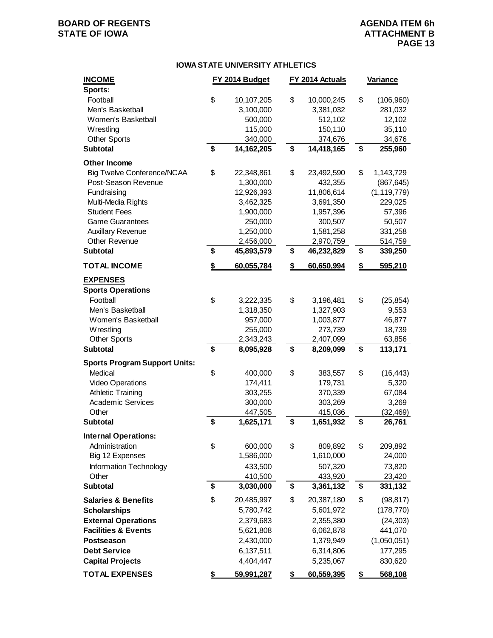# **BOARD OF REGENTS**<br> **BOARD OF REGENTS**<br> **BOARD OF IOWA**<br> **ATTACHMENT B**

### **ATTACHMENT B PAGE 13**

#### **IOWA STATE UNIVERSITY ATHLETICS**

| <b>INCOME</b>                        | FY 2014 Budget          | FY 2014 Actuals         | Variance              |
|--------------------------------------|-------------------------|-------------------------|-----------------------|
| Sports:<br>Football                  | \$                      | \$                      | \$                    |
| Men's Basketball                     | 10,107,205<br>3,100,000 | 10,000,245<br>3,381,032 | (106, 960)<br>281,032 |
| Women's Basketball                   | 500,000                 | 512,102                 | 12,102                |
|                                      |                         |                         |                       |
| Wrestling                            | 115,000                 | 150,110                 | 35,110                |
| <b>Other Sports</b>                  | 340,000                 | 374,676                 | 34,676                |
| <b>Subtotal</b>                      | \$<br>14,162,205        | \$<br>14,418,165        | \$<br>255,960         |
| <b>Other Income</b>                  |                         |                         |                       |
| <b>Big Twelve Conference/NCAA</b>    | \$<br>22,348,861        | \$<br>23,492,590        | \$<br>1,143,729       |
| Post-Season Revenue                  | 1,300,000               | 432,355                 | (867, 645)            |
| Fundraising                          | 12,926,393              | 11,806,614              | (1, 119, 779)         |
| Multi-Media Rights                   | 3,462,325               | 3,691,350               | 229,025               |
| <b>Student Fees</b>                  | 1,900,000               | 1,957,396               | 57,396                |
| <b>Game Guarantees</b>               | 250,000                 | 300,507                 | 50,507                |
| <b>Auxillary Revenue</b>             | 1,250,000               | 1,581,258               | 331,258               |
| Other Revenue                        | 2,456,000               | 2,970,759               | 514,759               |
| <b>Subtotal</b>                      | \$<br>45,893,579        | \$<br>46,232,829        | \$<br>339,250         |
| <b>TOTAL INCOME</b>                  | \$<br>60,055,784        | \$<br>60,650,994        | \$<br>595,210         |
| <b>EXPENSES</b>                      |                         |                         |                       |
| <b>Sports Operations</b>             |                         |                         |                       |
| Football                             | \$<br>3,222,335         | \$<br>3,196,481         | \$<br>(25, 854)       |
| Men's Basketball                     | 1,318,350               | 1,327,903               | 9,553                 |
| Women's Basketball                   | 957,000                 | 1,003,877               | 46,877                |
| Wrestling                            | 255,000                 | 273,739                 | 18,739                |
| <b>Other Sports</b>                  | 2,343,243               | 2,407,099               | 63,856                |
| <b>Subtotal</b>                      | \$<br>8,095,928         | \$<br>8,209,099         | \$<br>113,171         |
| <b>Sports Program Support Units:</b> |                         |                         |                       |
| Medical                              | \$<br>400,000           | \$<br>383,557           | \$<br>(16, 443)       |
| Video Operations                     | 174,411                 | 179,731                 | 5,320                 |
| <b>Athletic Training</b>             | 303,255                 | 370,339                 | 67,084                |
| Academic Services                    | 300,000                 | 303,269                 | 3,269                 |
| Other                                | 447,505                 | 415,036                 | (32, 469)             |
| <b>Subtotal</b>                      | \$<br>1,625,171         | \$<br>1,651,932         | \$<br>26,761          |
|                                      |                         |                         |                       |
| <b>Internal Operations:</b>          |                         |                         |                       |
| Administration                       | \$<br>600,000           | \$<br>809,892           | \$<br>209,892         |
| Big 12 Expenses                      | 1,586,000               | 1,610,000               | 24,000                |
| Information Technology               | 433,500                 | 507,320                 | 73,820                |
| Other                                | 410,500                 | 433,920                 | 23,420                |
| <b>Subtotal</b>                      | \$<br>3,030,000         | \$<br>3,361,132         | \$<br>331,132         |
| <b>Salaries &amp; Benefits</b>       | \$<br>20,485,997        | \$<br>20,387,180        | \$<br>(98, 817)       |
| <b>Scholarships</b>                  | 5,780,742               | 5,601,972               | (178, 770)            |
| <b>External Operations</b>           | 2,379,683               | 2,355,380               | (24, 303)             |
| <b>Facilities &amp; Events</b>       | 5,621,808               | 6,062,878               | 441,070               |
| <b>Postseason</b>                    | 2,430,000               | 1,379,949               | (1,050,051)           |
| <b>Debt Service</b>                  | 6,137,511               | 6,314,806               | 177,295               |
| <b>Capital Projects</b>              | 4,404,447               | 5,235,067               | 830,620               |
| <b>TOTAL EXPENSES</b>                | \$<br>59,991,287        | \$<br>60,559,395        | \$<br>568,108         |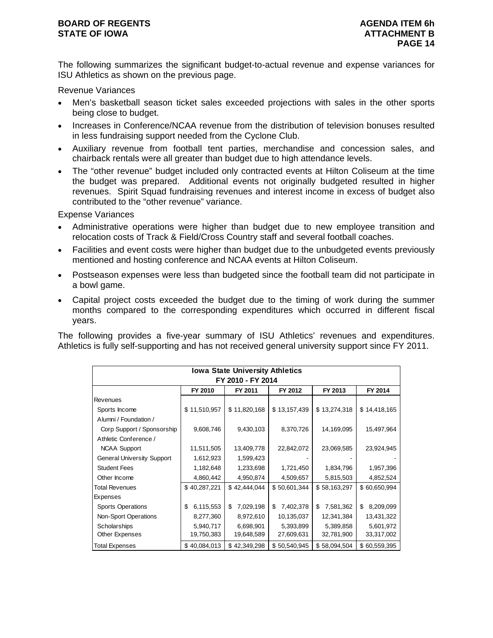#### **BOARD OF REGENTS AGENUS AGENDA ITEM 6h STATE OF IOWA** AND **ATTACHMENT B**

The following summarizes the significant budget-to-actual revenue and expense variances for ISU Athletics as shown on the previous page.

Revenue Variances

- Men's basketball season ticket sales exceeded projections with sales in the other sports being close to budget.
- Increases in Conference/NCAA revenue from the distribution of television bonuses resulted in less fundraising support needed from the Cyclone Club.
- Auxiliary revenue from football tent parties, merchandise and concession sales, and chairback rentals were all greater than budget due to high attendance levels.
- The "other revenue" budget included only contracted events at Hilton Coliseum at the time the budget was prepared. Additional events not originally budgeted resulted in higher revenues. Spirit Squad fundraising revenues and interest income in excess of budget also contributed to the "other revenue" variance.

Expense Variances

- Administrative operations were higher than budget due to new employee transition and relocation costs of Track & Field/Cross Country staff and several football coaches.
- Facilities and event costs were higher than budget due to the unbudgeted events previously mentioned and hosting conference and NCAA events at Hilton Coliseum.
- Postseason expenses were less than budgeted since the football team did not participate in a bowl game.
- Capital project costs exceeded the budget due to the timing of work during the summer months compared to the corresponding expenditures which occurred in different fiscal years.

The following provides a five-year summary of ISU Athletics' revenues and expenditures. Athletics is fully self-supporting and has not received general university support since FY 2011.

|                                   |                   | <b>Iowa State University Athletics</b> |                 |                 |                 |  |  |  |  |  |  |
|-----------------------------------|-------------------|----------------------------------------|-----------------|-----------------|-----------------|--|--|--|--|--|--|
|                                   | FY 2010 - FY 2014 |                                        |                 |                 |                 |  |  |  |  |  |  |
|                                   | FY 2010           | FY 2011                                | FY 2012         | FY 2013         | FY 2014         |  |  |  |  |  |  |
| <b>Revenues</b>                   |                   |                                        |                 |                 |                 |  |  |  |  |  |  |
| Sports Income                     | \$11,510,957      | \$11,820,168                           | \$13,157,439    | \$13,274,318    | \$14,418,165    |  |  |  |  |  |  |
| Alumni / Foundation /             |                   |                                        |                 |                 |                 |  |  |  |  |  |  |
| Corp Support / Sponsorship        | 9,608,746         | 9,430,103                              | 8,370,726       | 14,169,095      | 15,497,964      |  |  |  |  |  |  |
| Athletic Conference /             |                   |                                        |                 |                 |                 |  |  |  |  |  |  |
| <b>NCAA Support</b>               | 11,511,505        | 13,409,778                             | 22,842,072      | 23,069,585      | 23,924,945      |  |  |  |  |  |  |
| <b>General University Support</b> | 1,612,923         | 1,599,423                              |                 |                 |                 |  |  |  |  |  |  |
| <b>Student Fees</b>               | 1,182,648         | 1,233,698                              | 1,721,450       | 1,834,796       | 1,957,396       |  |  |  |  |  |  |
| Other Income                      | 4,860,442         | 4,950,874                              | 4,509,657       | 5,815,503       | 4,852,524       |  |  |  |  |  |  |
| <b>Total Revenues</b>             | \$40,287,221      | \$42,444,044                           | \$50,601,344    | \$58,163,297    | \$60,650,994    |  |  |  |  |  |  |
| <b>Expenses</b>                   |                   |                                        |                 |                 |                 |  |  |  |  |  |  |
| <b>Sports Operations</b>          | 6,115,553<br>\$   | 7,029,198<br>\$                        | 7,402,378<br>\$ | 7,581,362<br>\$ | \$<br>8,209,099 |  |  |  |  |  |  |
| Non-Sport Operations              | 8,277,360         | 8,972,610                              | 10,135,037      | 12,341,384      | 13,431,322      |  |  |  |  |  |  |
| Scholarships                      | 5,940,717         | 6,698,901                              | 5,393,899       | 5,389,858       | 5,601,972       |  |  |  |  |  |  |
| Other Expenses                    | 19,750,383        | 19,648,589                             | 27,609,631      | 32,781,900      | 33,317,002      |  |  |  |  |  |  |
| Total Expenses                    | \$40,084,013      | \$42,349,298                           | \$50,540,945    | \$58,094,504    | \$60,559,395    |  |  |  |  |  |  |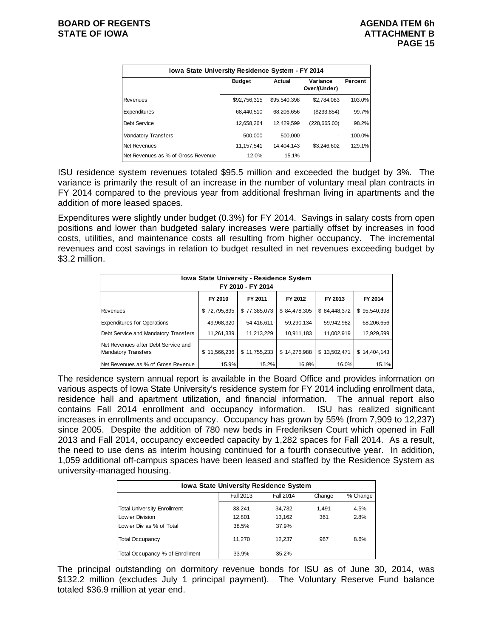| Iowa State University Residence System - FY 2014 |               |              |                          |         |  |  |  |  |
|--------------------------------------------------|---------------|--------------|--------------------------|---------|--|--|--|--|
|                                                  | <b>Budget</b> | Actual       | Variance<br>Over/(Under) | Percent |  |  |  |  |
| Revenues                                         | \$92,756,315  | \$95,540,398 | \$2,784,083              | 103.0%  |  |  |  |  |
| Expenditures                                     | 68.440.510    | 68.206.656   | (\$233,854)              | 99.7%   |  |  |  |  |
| Debt Service                                     | 12,658,264    | 12,429,599   | (228, 665.00)            | 98.2%   |  |  |  |  |
| <b>Mandatory Transfers</b>                       | 500.000       | 500.000      | ٠                        | 100.0%  |  |  |  |  |
| Net Revenues                                     | 11.157.541    | 14.404.143   | \$3.246.602              | 129.1%  |  |  |  |  |
| Net Revenues as % of Gross Revenue               | 12.0%         | 15.1%        |                          |         |  |  |  |  |

ISU residence system revenues totaled \$95.5 million and exceeded the budget by 3%. The variance is primarily the result of an increase in the number of voluntary meal plan contracts in FY 2014 compared to the previous year from additional freshman living in apartments and the addition of more leased spaces.

Expenditures were slightly under budget (0.3%) for FY 2014. Savings in salary costs from open positions and lower than budgeted salary increases were partially offset by increases in food costs, utilities, and maintenance costs all resulting from higher occupancy. The incremental revenues and cost savings in relation to budget resulted in net revenues exceeding budget by \$3.2 million.

| <b>Iowa State University - Residence System</b><br>FY 2010 - FY 2014 |              |              |              |              |              |  |  |  |
|----------------------------------------------------------------------|--------------|--------------|--------------|--------------|--------------|--|--|--|
| FY 2010<br>FY 2011<br>FY 2012<br>FY 2014<br>FY 2013                  |              |              |              |              |              |  |  |  |
| Revenues                                                             | \$72,795,895 | \$77,385,073 | \$84,478,305 | \$84,448,372 | \$95,540,398 |  |  |  |
| <b>Expenditures for Operations</b>                                   | 49,968,320   | 54,416,611   | 59,290,134   | 59,942,982   | 68,206,656   |  |  |  |
| Debt Service and Mandatory Transfers                                 | 11,261,339   | 11,213,229   | 10,911,183   | 11,002,919   | 12,929,599   |  |  |  |
| Net Revenues after Debt Service and<br><b>Mandatory Transfers</b>    | \$11,566,236 | \$11,755,233 | \$14,276,988 | \$13,502,471 | \$14,404,143 |  |  |  |
| Net Revenues as % of Gross Revenue                                   | 15.9%        | 15.2%        | 16.9%        | 16.0%        | 15.1%        |  |  |  |

The residence system annual report is available in the Board Office and provides information on various aspects of Iowa State University's residence system for FY 2014 including enrollment data, residence hall and apartment utilization, and financial information. The annual report also contains Fall 2014 enrollment and occupancy information. ISU has realized significant increases in enrollments and occupancy. Occupancy has grown by 55% (from 7,909 to 12,237) since 2005. Despite the addition of 780 new beds in Frederiksen Court which opened in Fall 2013 and Fall 2014, occupancy exceeded capacity by 1,282 spaces for Fall 2014. As a result, the need to use dens as interim housing continued for a fourth consecutive year. In addition, 1,059 additional off-campus spaces have been leased and staffed by the Residence System as university-managed housing.

| <b>Iowa State University Residence System</b> |           |           |        |          |  |  |  |
|-----------------------------------------------|-----------|-----------|--------|----------|--|--|--|
|                                               | Fall 2013 | Fall 2014 | Change | % Change |  |  |  |
| <b>Total University Enrollment</b>            | 33.241    | 34,732    | 1.491  | 4.5%     |  |  |  |
| Low er Division                               | 12.801    | 13.162    | 361    | 2.8%     |  |  |  |
| Low er Div as % of Total                      | 38.5%     | 37.9%     |        |          |  |  |  |
| <b>Total Occupancy</b>                        | 11.270    | 12.237    | 967    | 8.6%     |  |  |  |
| Total Occupancy % of Enrollment               | 33.9%     | 35.2%     |        |          |  |  |  |

The principal outstanding on dormitory revenue bonds for ISU as of June 30, 2014, was \$132.2 million (excludes July 1 principal payment). The Voluntary Reserve Fund balance totaled \$36.9 million at year end.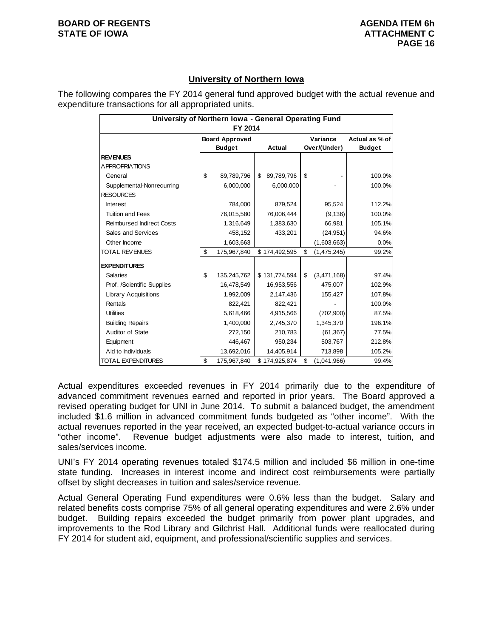### **University of Northern Iowa**

The following compares the FY 2014 general fund approved budget with the actual revenue and expenditure transactions for all appropriated units.

|                                  | University of Northern Iowa - General Operating Fund |               |    |               |              |                |               |  |  |
|----------------------------------|------------------------------------------------------|---------------|----|---------------|--------------|----------------|---------------|--|--|
|                                  |                                                      | FY 2014       |    |               |              |                |               |  |  |
|                                  | <b>Board Approved</b>                                |               |    | Variance      |              | Actual as % of |               |  |  |
|                                  |                                                      | <b>Budget</b> |    | <b>Actual</b> | Over/(Under) |                | <b>Budget</b> |  |  |
| <b>REVENUES</b>                  |                                                      |               |    |               |              |                |               |  |  |
| A PPROPRIATIONS                  |                                                      |               |    |               |              |                |               |  |  |
| General                          | \$                                                   | 89,789,796    | \$ | 89,789,796    | \$           |                | 100.0%        |  |  |
| Supplemental-Nonrecurring        |                                                      | 6,000,000     |    | 6,000,000     |              |                | 100.0%        |  |  |
| <b>RESOURCES</b>                 |                                                      |               |    |               |              |                |               |  |  |
| <b>Interest</b>                  |                                                      | 784,000       |    | 879,524       |              | 95,524         | 112.2%        |  |  |
| <b>Tuition and Fees</b>          |                                                      | 76,015,580    |    | 76.006.444    |              | (9, 136)       | 100.0%        |  |  |
| <b>Reimbursed Indirect Costs</b> |                                                      | 1,316,649     |    | 1,383,630     |              | 66,981         | 105.1%        |  |  |
| Sales and Services               |                                                      | 458,152       |    | 433,201       |              | (24, 951)      | 94.6%         |  |  |
| Other Income                     |                                                      | 1,603,663     |    |               |              | (1,603,663)    | 0.0%          |  |  |
| <b>TOTAL REVENUES</b>            | \$                                                   | 175,967,840   |    | \$174,492,595 | \$           | (1,475,245)    | 99.2%         |  |  |
| <b>EXPENDITURES</b>              |                                                      |               |    |               |              |                |               |  |  |
| <b>Salaries</b>                  | \$                                                   | 135,245,762   |    | \$131,774,594 | \$           | (3,471,168)    | 97.4%         |  |  |
| Prof. /Scientific Supplies       |                                                      | 16,478,549    |    | 16,953,556    |              | 475,007        | 102.9%        |  |  |
| <b>Library Acquisitions</b>      |                                                      | 1,992,009     |    | 2,147,436     |              | 155,427        | 107.8%        |  |  |
| Rentals                          |                                                      | 822,421       |    | 822,421       |              |                | 100.0%        |  |  |
| <b>Utilities</b>                 |                                                      | 5,618,466     |    | 4,915,566     |              | (702,900)      | 87.5%         |  |  |
| <b>Building Repairs</b>          |                                                      | 1,400,000     |    | 2,745,370     |              | 1,345,370      | 196.1%        |  |  |
| Auditor of State                 |                                                      | 272,150       |    | 210,783       |              | (61, 367)      | 77.5%         |  |  |
| Equipment                        |                                                      | 446,467       |    | 950,234       |              | 503,767        | 212.8%        |  |  |
| Aid to Individuals               |                                                      | 13,692,016    |    | 14,405,914    |              | 713,898        | 105.2%        |  |  |
| <b>TOTAL EXPENDITURES</b>        | \$                                                   | 175,967,840   |    | \$174,925,874 | \$           | (1,041,966)    | 99.4%         |  |  |

Actual expenditures exceeded revenues in FY 2014 primarily due to the expenditure of advanced commitment revenues earned and reported in prior years. The Board approved a revised operating budget for UNI in June 2014. To submit a balanced budget, the amendment included \$1.6 million in advanced commitment funds budgeted as "other income". With the actual revenues reported in the year received, an expected budget-to-actual variance occurs in "other income". Revenue budget adjustments were also made to interest, tuition, and sales/services income.

UNI's FY 2014 operating revenues totaled \$174.5 million and included \$6 million in one-time state funding. Increases in interest income and indirect cost reimbursements were partially offset by slight decreases in tuition and sales/service revenue.

Actual General Operating Fund expenditures were 0.6% less than the budget. Salary and related benefits costs comprise 75% of all general operating expenditures and were 2.6% under budget. Building repairs exceeded the budget primarily from power plant upgrades, and improvements to the Rod Library and Gilchrist Hall. Additional funds were reallocated during FY 2014 for student aid, equipment, and professional/scientific supplies and services.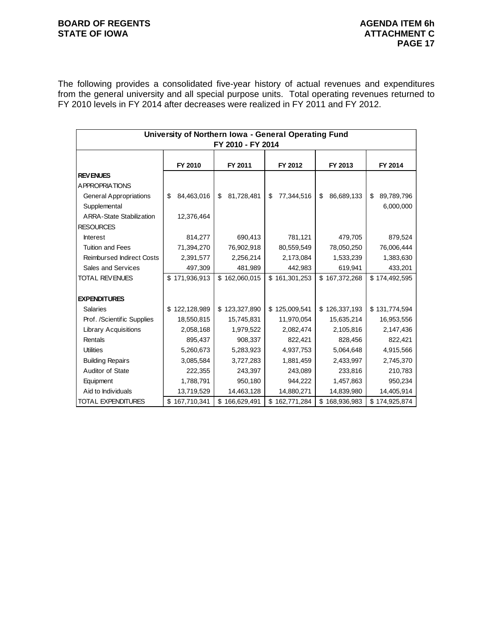## **BOARD OF REGENTS**<br> **BOARD OF REGENTS**<br> **BOARD OF IOWA**<br> **ATTACHMENT C**

The following provides a consolidated five-year history of actual revenues and expenditures from the general university and all special purpose units. Total operating revenues returned to FY 2010 levels in FY 2014 after decreases were realized in FY 2011 and FY 2012.

|                                  | University of Northern Iowa - General Operating Fund<br>FY 2010 - FY 2014 |                   |                   |                   |                  |  |  |
|----------------------------------|---------------------------------------------------------------------------|-------------------|-------------------|-------------------|------------------|--|--|
|                                  | FY 2010                                                                   | FY 2011           | FY 2012           | FY 2013           | FY 2014          |  |  |
| <b>REVENUES</b>                  |                                                                           |                   |                   |                   |                  |  |  |
| A PPROPRIATIONS                  |                                                                           |                   |                   |                   |                  |  |  |
| <b>General Appropriations</b>    | 84,463,016<br>\$                                                          | 81,728,481<br>\$  | 77,344,516<br>\$  | 86,689,133<br>\$  | 89,789,796<br>\$ |  |  |
| Supplemental                     |                                                                           |                   |                   |                   | 6,000,000        |  |  |
| <b>ARRA-State Stabilization</b>  | 12,376,464                                                                |                   |                   |                   |                  |  |  |
| <b>RESOURCES</b>                 |                                                                           |                   |                   |                   |                  |  |  |
| <b>Interest</b>                  | 814,277                                                                   | 690,413           | 781,121           | 479,705           | 879,524          |  |  |
| <b>Tuition and Fees</b>          | 71,394,270                                                                | 76,902,918        | 80,559,549        | 78,050,250        | 76,006,444       |  |  |
| <b>Reimbursed Indirect Costs</b> | 2,391,577                                                                 | 2,256,214         | 2,173,084         | 1,533,239         | 1,383,630        |  |  |
| Sales and Services               | 497,309                                                                   | 481,989           | 442,983           | 619,941           | 433,201          |  |  |
| <b>TOTAL REVENUES</b>            | \$171,936,913                                                             | \$162,060,015     | \$161,301,253     | \$167,372,268     | \$174,492,595    |  |  |
|                                  |                                                                           |                   |                   |                   |                  |  |  |
| <b>EXPENDITURES</b>              |                                                                           |                   |                   |                   |                  |  |  |
| <b>Salaries</b>                  | \$122,128,989                                                             | \$123,327,890     | \$125,009,541     | \$126,337,193     | \$131,774,594    |  |  |
| Prof. /Scientific Supplies       | 18,550,815                                                                | 15,745,831        | 11,970,054        | 15,635,214        | 16,953,556       |  |  |
| <b>Library Acquisitions</b>      | 2,058,168                                                                 | 1,979,522         | 2,082,474         | 2,105,816         | 2,147,436        |  |  |
| Rentals                          | 895,437                                                                   | 908,337           | 822,421           | 828,456           | 822,421          |  |  |
| <b>Utilities</b>                 | 5,260,673                                                                 | 5,283,923         | 4,937,753         | 5,064,648         | 4,915,566        |  |  |
| <b>Building Repairs</b>          | 3,085,584                                                                 | 3,727,283         | 1,881,459         | 2,433,997         | 2,745,370        |  |  |
| Auditor of State                 | 222,355                                                                   | 243,397           | 243,089           | 233,816           | 210,783          |  |  |
| Equipment                        | 1,788,791                                                                 | 950,180           | 944,222           | 1,457,863         | 950,234          |  |  |
| Aid to Individuals               | 13,719,529                                                                | 14,463,128        | 14,880,271        | 14,839,980        | 14,405,914       |  |  |
| TOTAL EXPENDITURES               | \$167,710,341                                                             | 166,629,491<br>\$ | \$<br>162,771,284 | 168,936,983<br>\$ | \$174,925,874    |  |  |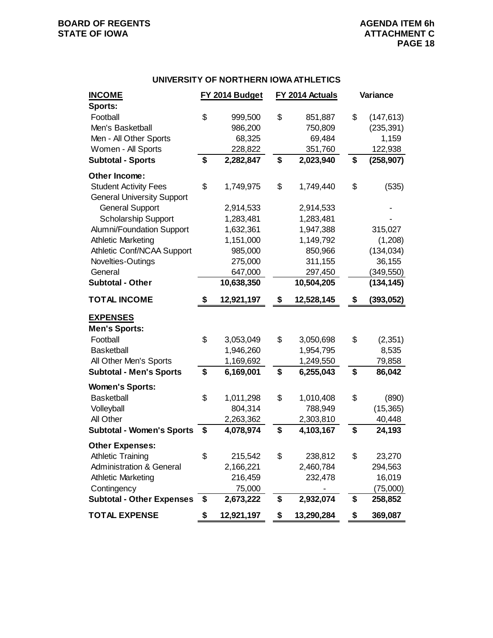# **BOARD OF REGENTS**<br> **BOARD OF REGENTS**<br> **BOARD OF IOWA**<br> **ATTACHMENT C**

#### **UNIVERSITY OF NORTHERN IOWA ATHLETICS**

| <b>INCOME</b>                       | FY 2014 Budget   | FY 2014 Actuals |            | Variance |            |
|-------------------------------------|------------------|-----------------|------------|----------|------------|
| Sports:                             |                  |                 |            |          |            |
| Football                            | \$<br>999,500    | \$              | 851,887    | \$       | (147, 613) |
| Men's Basketball                    | 986,200          |                 | 750,809    |          | (235, 391) |
| Men - All Other Sports              | 68,325           |                 | 69,484     |          | 1,159      |
| Women - All Sports                  | 228,822          |                 | 351,760    |          | 122,938    |
| <b>Subtotal - Sports</b>            | \$<br>2,282,847  | \$              | 2,023,940  | \$       | (258, 907) |
| Other Income:                       |                  |                 |            |          |            |
| <b>Student Activity Fees</b>        | \$<br>1,749,975  | \$              | 1,749,440  | \$       | (535)      |
| <b>General University Support</b>   |                  |                 |            |          |            |
| <b>General Support</b>              | 2,914,533        |                 | 2,914,533  |          |            |
| <b>Scholarship Support</b>          | 1,283,481        |                 | 1,283,481  |          |            |
| Alumni/Foundation Support           | 1,632,361        |                 | 1,947,388  |          | 315,027    |
| <b>Athletic Marketing</b>           | 1,151,000        |                 | 1,149,792  |          | (1,208)    |
| Athletic Conf/NCAA Support          | 985,000          |                 | 850,966    |          | (134, 034) |
| Novelties-Outings                   | 275,000          |                 | 311,155    |          | 36,155     |
| General                             | 647,000          |                 | 297,450    |          | (349, 550) |
| <b>Subtotal - Other</b>             | 10,638,350       |                 | 10,504,205 |          | (134, 145) |
| <b>TOTAL INCOME</b>                 | \$<br>12,921,197 | \$              | 12,528,145 | \$       | (393,052)  |
| <b>EXPENSES</b>                     |                  |                 |            |          |            |
| <b>Men's Sports:</b>                |                  |                 |            |          |            |
| Football                            | \$<br>3,053,049  | \$              | 3,050,698  | \$       | (2, 351)   |
| <b>Basketball</b>                   | 1,946,260        |                 | 1,954,795  |          | 8,535      |
| All Other Men's Sports              | 1,169,692        |                 | 1,249,550  |          | 79,858     |
| <b>Subtotal - Men's Sports</b>      | \$<br>6,169,001  | \$              | 6,255,043  | \$       | 86,042     |
| <b>Women's Sports:</b>              |                  |                 |            |          |            |
| <b>Basketball</b>                   | \$<br>1,011,298  | \$              | 1,010,408  | \$       | (890)      |
| Volleyball                          | 804,314          |                 | 788,949    |          | (15, 365)  |
| All Other                           | 2,263,362        |                 | 2,303,810  |          | 40,448     |
| <b>Subtotal - Women's Sports</b>    | \$<br>4,078,974  | \$              | 4,103,167  | \$       | 24,193     |
| <b>Other Expenses:</b>              |                  |                 |            |          |            |
| <b>Athletic Training</b>            | \$<br>215,542    | \$              | 238,812    | \$       | 23,270     |
| <b>Administration &amp; General</b> | 2,166,221        |                 | 2,460,784  |          | 294,563    |
| <b>Athletic Marketing</b>           | 216,459          |                 | 232,478    |          | 16,019     |
| Contingency                         | 75,000           |                 |            |          | (75,000)   |
| <b>Subtotal - Other Expenses</b>    | \$<br>2,673,222  | \$              | 2,932,074  | \$       | 258,852    |
| <b>TOTAL EXPENSE</b>                | \$<br>12,921,197 | \$              | 13,290,284 | \$       | 369,087    |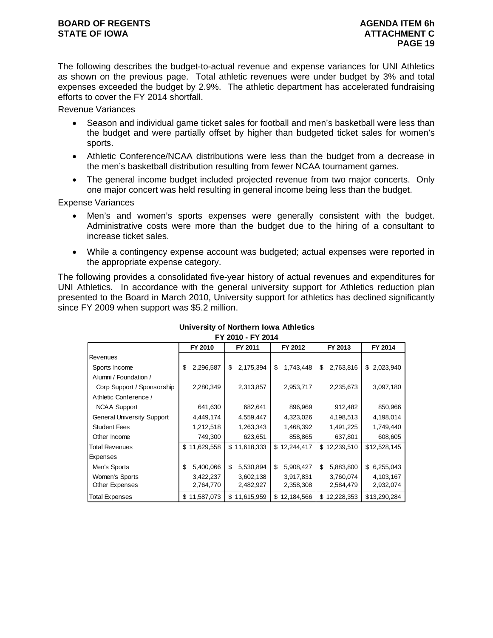The following describes the budget-to-actual revenue and expense variances for UNI Athletics as shown on the previous page. Total athletic revenues were under budget by 3% and total expenses exceeded the budget by 2.9%. The athletic department has accelerated fundraising efforts to cover the FY 2014 shortfall.

Revenue Variances

- Season and individual game ticket sales for football and men's basketball were less than the budget and were partially offset by higher than budgeted ticket sales for women's sports.
- Athletic Conference/NCAA distributions were less than the budget from a decrease in the men's basketball distribution resulting from fewer NCAA tournament games.
- The general income budget included projected revenue from two major concerts. Only one major concert was held resulting in general income being less than the budget.

Expense Variances

- Men's and women's sports expenses were generally consistent with the budget. Administrative costs were more than the budget due to the hiring of a consultant to increase ticket sales.
- While a contingency expense account was budgeted; actual expenses were reported in the appropriate expense category.

The following provides a consolidated five-year history of actual revenues and expenditures for UNI Athletics. In accordance with the general university support for Athletics reduction plan presented to the Board in March 2010, University support for athletics has declined significantly since FY 2009 when support was \$5.2 million.

|                                   |                 | I I LUIU <sup>-</sup> I I LUI <del>T</del> |                 |                   |              |
|-----------------------------------|-----------------|--------------------------------------------|-----------------|-------------------|--------------|
|                                   | FY 2010         | FY 2011                                    | FY 2012         | FY 2013           | FY 2014      |
| Revenues                          |                 |                                            |                 |                   |              |
| Sports Income                     | \$<br>2,296,587 | 2,175,394<br>\$                            | \$<br>1,743,448 | 2,763,816<br>\$   | \$2,023,940  |
| Alumni / Foundation /             |                 |                                            |                 |                   |              |
| Corp Support / Sponsorship        | 2,280,349       | 2,313,857                                  | 2,953,717       | 2,235,673         | 3,097,180    |
| Athletic Conference /             |                 |                                            |                 |                   |              |
| <b>NCAA Support</b>               | 641,630         | 682,641                                    | 896,969         | 912,482           | 850,966      |
| <b>General University Support</b> | 4,449,174       | 4,559,447                                  | 4,323,026       | 4,198,513         | 4,198,014    |
| <b>Student Fees</b>               | 1,212,518       | 1,263,343                                  | 1,468,392       | 1,491,225         | 1,749,440    |
| Other Income                      | 749,300         | 623,651                                    | 858,865         | 637,801           | 608,605      |
| <b>Total Revenues</b>             | \$11,629,558    | \$11,618,333                               | \$12,244,417    | \$12,239,510      | \$12,528,145 |
| Expenses                          |                 |                                            |                 |                   |              |
| Men's Sports                      | \$<br>5,400,066 | \$<br>5,530,894                            | \$<br>5,908,427 | 5,883,800<br>\$   | \$6,255,043  |
| Women's Sports                    | 3,422,237       | 3,602,138                                  | 3,917,831       | 3,760,074         | 4,103,167    |
| Other Expenses                    | 2,764,770       | 2,482,927                                  | 2,358,308       | 2,584,479         | 2,932,074    |
| <b>Total Expenses</b>             | \$11,587,073    | 11,615,959<br>\$                           | \$12,184,566    | 12,228,353<br>\$. | \$13,290,284 |

#### **University of Northern Iowa Athletics FY 2010 - FY 2014**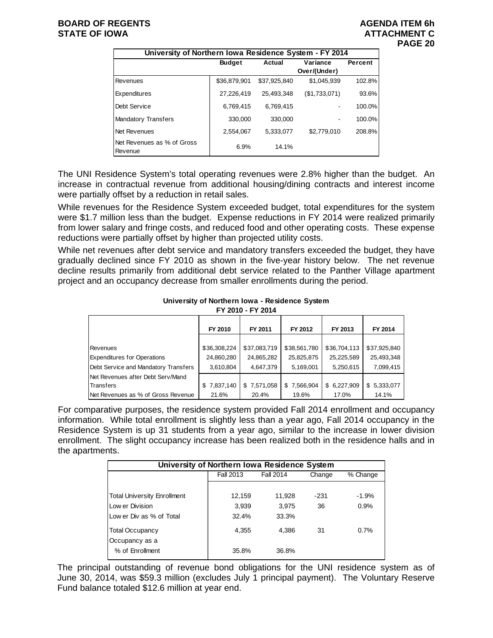| University of Northern Iowa Residence System - FY 2014 |               |              |               |         |  |  |  |  |  |
|--------------------------------------------------------|---------------|--------------|---------------|---------|--|--|--|--|--|
|                                                        | <b>Budget</b> | Actual       | Variance      | Percent |  |  |  |  |  |
|                                                        |               |              | Over/(Under)  |         |  |  |  |  |  |
| Revenues                                               | \$36,879,901  | \$37.925.840 | \$1,045,939   | 102.8%  |  |  |  |  |  |
| Expenditures                                           | 27,226,419    | 25.493.348   | (\$1,733,071) | 93.6%   |  |  |  |  |  |
| Debt Service                                           | 6,769,415     | 6,769,415    |               | 100.0%  |  |  |  |  |  |
| <b>Mandatory Transfers</b>                             | 330,000       | 330,000      |               | 100.0%  |  |  |  |  |  |
| <b>Net Revenues</b>                                    | 2,554,067     | 5.333.077    | \$2,779,010   | 208.8%  |  |  |  |  |  |
| Net Revenues as % of Gross<br>Revenue                  | 6.9%          | 14.1%        |               |         |  |  |  |  |  |

The UNI Residence System's total operating revenues were 2.8% higher than the budget. An increase in contractual revenue from additional housing/dining contracts and interest income were partially offset by a reduction in retail sales.

While revenues for the Residence System exceeded budget, total expenditures for the system were \$1.7 million less than the budget. Expense reductions in FY 2014 were realized primarily from lower salary and fringe costs, and reduced food and other operating costs. These expense reductions were partially offset by higher than projected utility costs.

While net revenues after debt service and mandatory transfers exceeded the budget, they have gradually declined since FY 2010 as shown in the five-year history below. The net revenue decline results primarily from additional debt service related to the Panther Village apartment project and an occupancy decrease from smaller enrollments during the period.

#### **University of Northern Iowa - Residence System FY 2010 - FY 2014**

| <u> 1 2010 - 1 1 2014</u>            |                |                  |                 |              |              |  |  |  |  |
|--------------------------------------|----------------|------------------|-----------------|--------------|--------------|--|--|--|--|
|                                      | FY 2010        | FY 2011          | FY 2012         | FY 2013      | FY 2014      |  |  |  |  |
|                                      |                |                  |                 |              |              |  |  |  |  |
| Revenues                             | \$36,308,224   | \$37,083,719     | \$38,561,780    | \$36,704,113 | \$37,925,840 |  |  |  |  |
| <b>Expenditures for Operations</b>   | 24,860,280     | 24,865,282       | 25,825,875      | 25,225,589   | 25,493,348   |  |  |  |  |
| Debt Service and Mandatory Transfers | 3,610,804      | 4,647,379        | 5,169,001       | 5,250,615    | 7,099,415    |  |  |  |  |
| Net Revenues after Debt Serv/Mand    |                |                  |                 |              |              |  |  |  |  |
| Transfers                            | 7,837,140<br>S | 7,571,058<br>\$. | 7,566,904<br>S. | \$6,227,909  | \$5,333,077  |  |  |  |  |
| Net Revenues as % of Gross Revenue   | 21.6%          | 20.4%            | 19.6%           | 17.0%        | 14.1%        |  |  |  |  |

For comparative purposes, the residence system provided Fall 2014 enrollment and occupancy information. While total enrollment is slightly less than a year ago, Fall 2014 occupancy in the Residence System is up 31 students from a year ago, similar to the increase in lower division enrollment. The slight occupancy increase has been realized both in the residence halls and in the apartments.

| University of Northern Iowa Residence System |           |           |        |          |  |  |  |
|----------------------------------------------|-----------|-----------|--------|----------|--|--|--|
|                                              | Fall 2013 | Fall 2014 | Change | % Change |  |  |  |
|                                              |           |           |        |          |  |  |  |
| <b>Total University Enrollment</b>           | 12,159    | 11.928    | $-231$ | $-1.9%$  |  |  |  |
| Low er Division                              | 3,939     | 3,975     | 36     | 0.9%     |  |  |  |
| Low er Div as % of Total                     | 32.4%     | 33.3%     |        |          |  |  |  |
| <b>Total Occupancy</b><br>Occupancy as a     | 4.355     | 4.386     | 31     | 0.7%     |  |  |  |
| % of Enrollment                              | 35.8%     | 36.8%     |        |          |  |  |  |

The principal outstanding of revenue bond obligations for the UNI residence system as of June 30, 2014, was \$59.3 million (excludes July 1 principal payment). The Voluntary Reserve Fund balance totaled \$12.6 million at year end.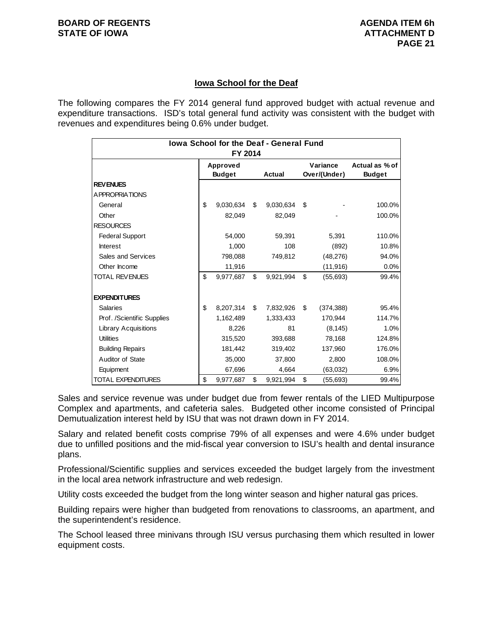### **Iowa School for the Deaf**

The following compares the FY 2014 general fund approved budget with actual revenue and expenditure transactions. ISD's total general fund activity was consistent with the budget with revenues and expenditures being 0.6% under budget.

| Iowa School for the Deaf - General Fund<br>FY 2014 |    |                           |    |               |                          |            |                                 |
|----------------------------------------------------|----|---------------------------|----|---------------|--------------------------|------------|---------------------------------|
|                                                    |    | Approved<br><b>Budget</b> |    | <b>Actual</b> | Variance<br>Over/(Under) |            | Actual as % of<br><b>Budget</b> |
| <b>REVENUES</b>                                    |    |                           |    |               |                          |            |                                 |
| <b>APPROPRIATIONS</b>                              |    |                           |    |               |                          |            |                                 |
| General                                            | \$ | 9,030,634                 | \$ | 9,030,634     | \$                       |            | 100.0%                          |
| Other                                              |    | 82,049                    |    | 82,049        |                          |            | 100.0%                          |
| <b>RESOURCES</b>                                   |    |                           |    |               |                          |            |                                 |
| <b>Federal Support</b>                             |    | 54,000                    |    | 59,391        |                          | 5,391      | 110.0%                          |
| <b>Interest</b>                                    |    | 1.000                     |    | 108           |                          | (892)      | 10.8%                           |
| Sales and Services                                 |    | 798,088                   |    | 749,812       |                          | (48, 276)  | 94.0%                           |
| Other Income                                       |    | 11,916                    |    |               |                          | (11, 916)  | 0.0%                            |
| <b>TOTAL REVENUES</b>                              | \$ | 9,977,687                 | \$ | 9,921,994     | \$                       | (55, 693)  | 99.4%                           |
| <b>EXPENDITURES</b>                                |    |                           |    |               |                          |            |                                 |
| <b>Salaries</b>                                    | \$ | 8,207,314                 | \$ | 7,832,926     | \$                       | (374, 388) | 95.4%                           |
| Prof. /Scientific Supplies                         |    | 1,162,489                 |    | 1,333,433     |                          | 170,944    | 114.7%                          |
| <b>Library Acquisitions</b>                        |    | 8,226                     |    | 81            |                          | (8, 145)   | 1.0%                            |
| <b>Utilities</b>                                   |    | 315,520                   |    | 393,688       |                          | 78,168     | 124.8%                          |
| <b>Building Repairs</b>                            |    | 181,442                   |    | 319,402       |                          | 137,960    | 176.0%                          |
| Auditor of State                                   |    | 35,000                    |    | 37,800        |                          | 2,800      | 108.0%                          |
| Equipment                                          |    | 67,696                    |    | 4,664         |                          | (63,032)   | 6.9%                            |
| <b>TOTAL EXPENDITURES</b>                          | \$ | 9,977,687                 | \$ | 9,921,994     | \$                       | (55, 693)  | 99.4%                           |

Sales and service revenue was under budget due from fewer rentals of the LIED Multipurpose Complex and apartments, and cafeteria sales. Budgeted other income consisted of Principal Demutualization interest held by ISU that was not drawn down in FY 2014.

Salary and related benefit costs comprise 79% of all expenses and were 4.6% under budget due to unfilled positions and the mid-fiscal year conversion to ISU's health and dental insurance plans.

Professional/Scientific supplies and services exceeded the budget largely from the investment in the local area network infrastructure and web redesign.

Utility costs exceeded the budget from the long winter season and higher natural gas prices.

Building repairs were higher than budgeted from renovations to classrooms, an apartment, and the superintendent's residence.

The School leased three minivans through ISU versus purchasing them which resulted in lower equipment costs.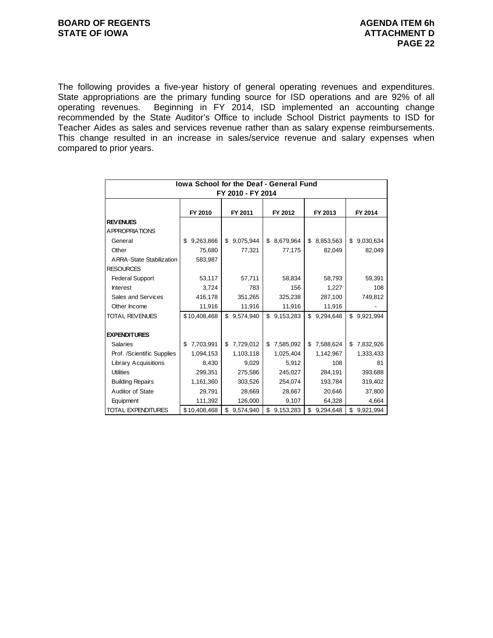The following provides a five-year history of general operating revenues and expenditures. State appropriations are the primary funding source for ISD operations and are 92% of all operating revenues. Beginning in FY 2014, ISD implemented an accounting change recommended by the State Auditor's Office to include School District payments to ISD for Teacher Aides as sales and services revenue rather than as salary expense reimbursements. This change resulted in an increase in sales/service revenue and salary expenses when compared to prior years.

| <b>Iowa School for the Deaf - General Fund</b> |                 |                 |                 |                 |                 |  |  |  |
|------------------------------------------------|-----------------|-----------------|-----------------|-----------------|-----------------|--|--|--|
| FY 2010 - FY 2014                              |                 |                 |                 |                 |                 |  |  |  |
|                                                | FY 2010         | FY 2011         |                 | FY 2013         | FY 2014         |  |  |  |
| <b>REVENUES</b>                                |                 |                 |                 |                 |                 |  |  |  |
| A PPROPRIATIONS                                |                 |                 |                 |                 |                 |  |  |  |
| General                                        | 9,263,866<br>\$ | 9,075,944<br>\$ | 8,679,964<br>\$ | 8,853,563<br>\$ | 9,030,634<br>\$ |  |  |  |
| Other                                          | 75,680          | 77,321          | 77,175          | 82,049          | 82,049          |  |  |  |
| <b>ARRA-State Stabilization</b>                | 583,987         |                 |                 |                 |                 |  |  |  |
| <b>RESOURCES</b>                               |                 |                 |                 |                 |                 |  |  |  |
| <b>Federal Support</b>                         | 53,117          | 57,711          | 58,834          | 58,793          | 59,391          |  |  |  |
| <b>Interest</b>                                | 3,724           | 783             | 156             | 1,227           | 108             |  |  |  |
| Sales and Services                             | 416,178         | 351,265         | 325,238         | 287,100         | 749,812         |  |  |  |
| Other Income                                   | 11,916          | 11,916          | 11,916          | 11,916          |                 |  |  |  |
| <b>TOTAL REVENUES</b>                          | \$10,408,468    | \$<br>9,574,940 | \$<br>9,153,283 | \$<br>9,294,648 | \$<br>9,921,994 |  |  |  |
|                                                |                 |                 |                 |                 |                 |  |  |  |
| <b>EXPENDITURES</b>                            |                 |                 |                 |                 |                 |  |  |  |
| <b>Salaries</b>                                | 7,703,991<br>\$ | 7,729,012<br>\$ | 7,585,092<br>\$ | \$<br>7,588,624 | \$<br>7,832,926 |  |  |  |
| Prof. /Scientific Supplies                     | 1,094,153       | 1,103,118       | 1,025,404       | 1,142,967       | 1,333,433       |  |  |  |
| <b>Library Acquisitions</b>                    | 8,430           | 9,029           | 5,912           | 108             | 81              |  |  |  |
| <b>Utilities</b>                               | 299,351         | 275,586         | 245,027         | 284,191         | 393,688         |  |  |  |
| <b>Building Repairs</b>                        | 1,161,360       | 303,526         | 254,074         | 193,784         | 319,402         |  |  |  |
| Auditor of State                               | 29,791          | 28,669          | 28,667          | 20,646          | 37,800          |  |  |  |
| Equipment                                      | 111,392         | 126,000         | 9,107           | 64,328          | 4,664           |  |  |  |
| <b>TOTAL EXPENDITURES</b>                      | \$10,408,468    | \$<br>9,574,940 | \$<br>9,153,283 | \$<br>9,294,648 | \$<br>9,921,994 |  |  |  |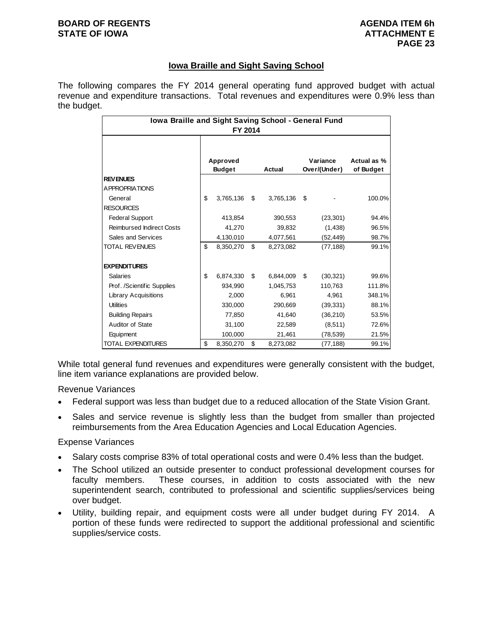#### **BOARD OF REGENTS AGENUS AGENDA ITEM 6h STATE OF IOWA ATTACHMENT E**

### **Iowa Braille and Sight Saving School**

The following compares the FY 2014 general operating fund approved budget with actual revenue and expenditure transactions. Total revenues and expenditures were 0.9% less than the budget.

| Iowa Braille and Sight Saving School - General Fund<br>FY 2014 |                           |           |     |                                    |    |           |                          |  |
|----------------------------------------------------------------|---------------------------|-----------|-----|------------------------------------|----|-----------|--------------------------|--|
|                                                                | Approved<br><b>Budget</b> |           |     | Variance<br>Over/(Under)<br>Actual |    |           | Actual as %<br>of Budget |  |
| <b>REVENUES</b>                                                |                           |           |     |                                    |    |           |                          |  |
| A PPROPRIATIONS                                                |                           |           |     |                                    |    |           |                          |  |
| General                                                        | \$                        | 3,765,136 | \$  | 3,765,136                          | \$ |           | 100.0%                   |  |
| <b>RESOURCES</b>                                               |                           |           |     |                                    |    |           |                          |  |
| <b>Federal Support</b>                                         |                           | 413,854   |     | 390,553                            |    | (23, 301) | 94.4%                    |  |
| <b>Reimbursed Indirect Costs</b>                               |                           | 41,270    |     | 39,832                             |    | (1,438)   | 96.5%                    |  |
| Sales and Services                                             |                           | 4,130,010 |     | 4,077,561                          |    | (52, 449) | 98.7%                    |  |
| <b>TOTAL REVENUES</b>                                          | \$                        | 8,350,270 | \$  | 8,273,082                          |    | (77, 188) | 99.1%                    |  |
| <b>EXPENDITURES</b>                                            |                           |           |     |                                    |    |           |                          |  |
| Salaries                                                       | \$                        | 6,874,330 | \$. | 6,844,009                          | \$ | (30, 321) | 99.6%                    |  |
| Prof. /Scientific Supplies                                     |                           | 934,990   |     | 1,045,753                          |    | 110,763   | 111.8%                   |  |
| <b>Library Acquisitions</b>                                    |                           | 2,000     |     | 6,961                              |    | 4,961     | 348.1%                   |  |
| <b>Utilities</b>                                               |                           | 330,000   |     | 290,669                            |    | (39, 331) | 88.1%                    |  |
| <b>Building Repairs</b>                                        |                           | 77,850    |     | 41.640                             |    | (36, 210) | 53.5%                    |  |
| Auditor of State                                               |                           | 31,100    |     | 22,589                             |    | (8,511)   | 72.6%                    |  |
| Equipment                                                      |                           | 100,000   |     | 21,461                             |    | (78, 539) | 21.5%                    |  |
| <b>TOTAL EXPENDITURES</b>                                      | \$                        | 8,350,270 | \$  | 8,273,082                          |    | (77, 188) | 99.1%                    |  |

While total general fund revenues and expenditures were generally consistent with the budget, line item variance explanations are provided below.

Revenue Variances

- Federal support was less than budget due to a reduced allocation of the State Vision Grant.
- Sales and service revenue is slightly less than the budget from smaller than projected reimbursements from the Area Education Agencies and Local Education Agencies.

Expense Variances

- Salary costs comprise 83% of total operational costs and were 0.4% less than the budget.
- The School utilized an outside presenter to conduct professional development courses for faculty members. These courses, in addition to costs associated with the new superintendent search, contributed to professional and scientific supplies/services being over budget.
- Utility, building repair, and equipment costs were all under budget during FY 2014. A portion of these funds were redirected to support the additional professional and scientific supplies/service costs.